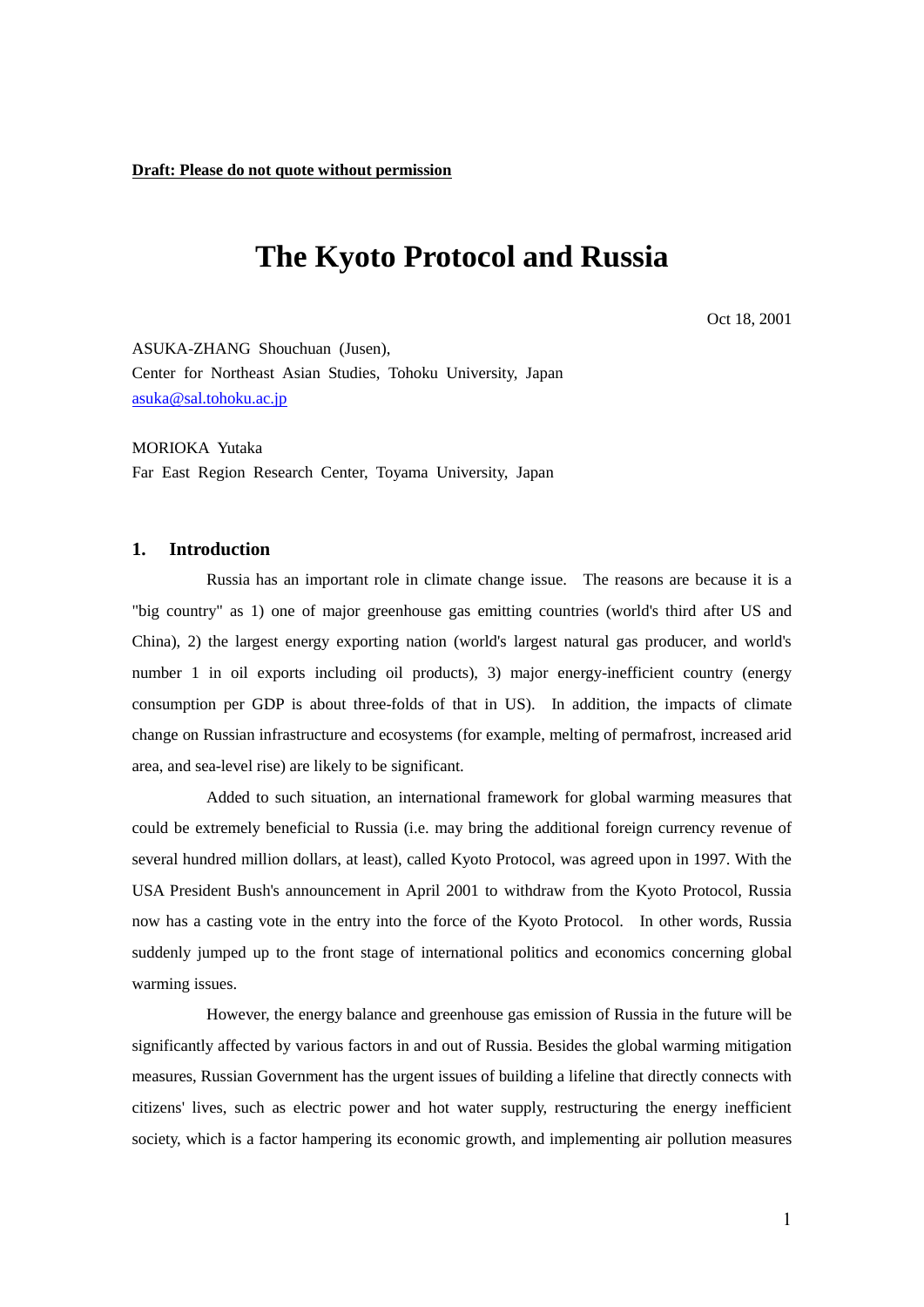# **The Kyoto Protocol and Russia**

Oct 18, 2001

ASUKA-ZHANG Shouchuan (Jusen), Center for Northeast Asian Studies, Tohoku University, Japan [asuka@sal.tohoku.ac.jp](mailto:Asuka@sal.tohoku.ac.jp)

MORIOKA Yutaka Far East Region Research Center, Toyama University, Japan

#### **1. Introduction**

Russia has an important role in climate change issue. The reasons are because it is a "big country" as 1) one of major greenhouse gas emitting countries (world's third after US and China), 2) the largest energy exporting nation (world's largest natural gas producer, and world's number 1 in oil exports including oil products), 3) major energy-inefficient country (energy consumption per GDP is about three-folds of that in US). In addition, the impacts of climate change on Russian infrastructure and ecosystems (for example, melting of permafrost, increased arid area, and sea-level rise) are likely to be significant.

Added to such situation, an international framework for global warming measures that could be extremely beneficial to Russia (i.e. may bring the additional foreign currency revenue of several hundred million dollars, at least), called Kyoto Protocol, was agreed upon in 1997. With the USA President Bush's announcement in April 2001 to withdraw from the Kyoto Protocol, Russia now has a casting vote in the entry into the force of the Kyoto Protocol. In other words, Russia suddenly jumped up to the front stage of international politics and economics concerning global warming issues.

However, the energy balance and greenhouse gas emission of Russia in the future will be significantly affected by various factors in and out of Russia. Besides the global warming mitigation measures, Russian Government has the urgent issues of building a lifeline that directly connects with citizens' lives, such as electric power and hot water supply, restructuring the energy inefficient society, which is a factor hampering its economic growth, and implementing air pollution measures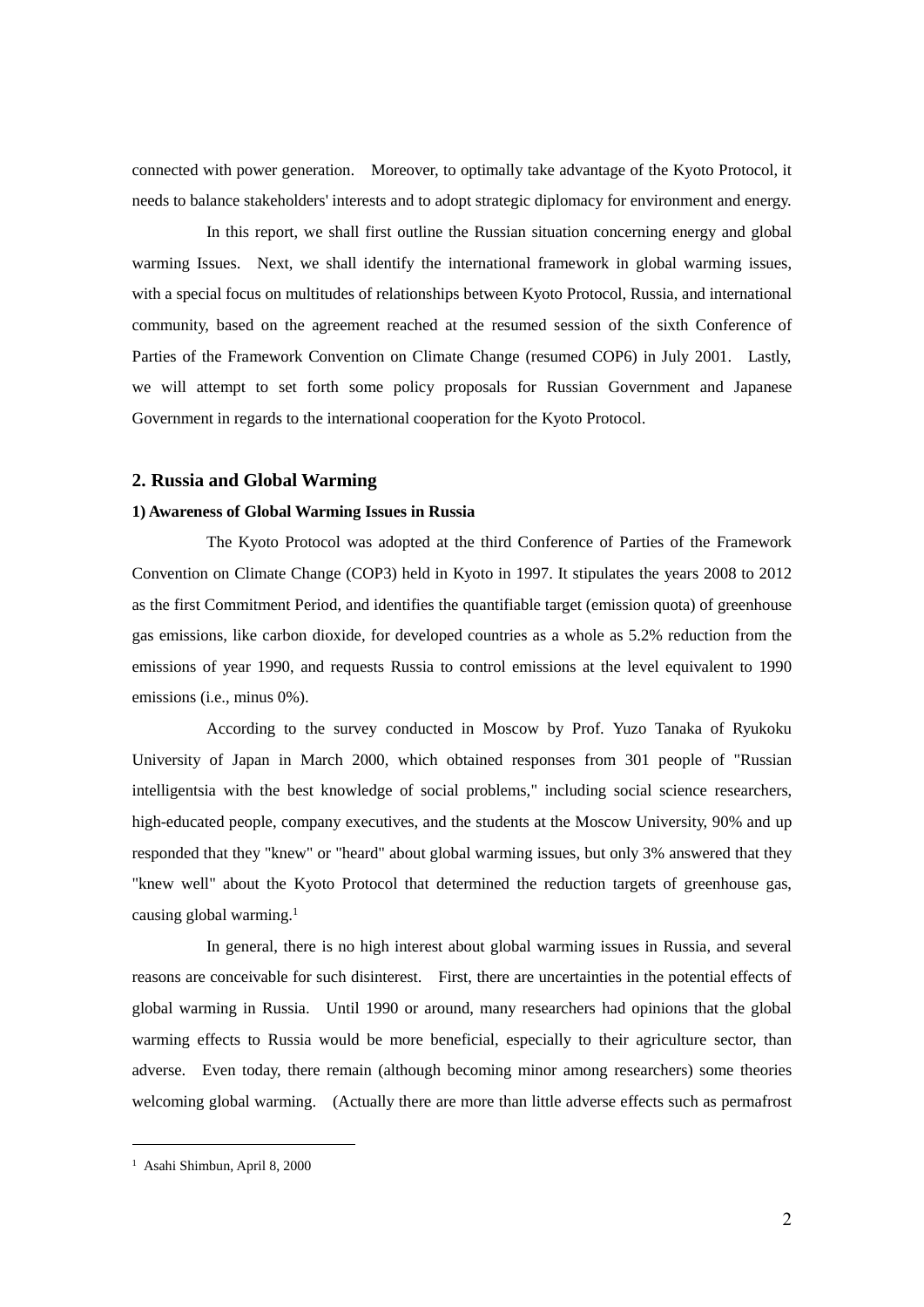connected with power generation. Moreover, to optimally take advantage of the Kyoto Protocol, it needs to balance stakeholders' interests and to adopt strategic diplomacy for environment and energy.

In this report, we shall first outline the Russian situation concerning energy and global warming Issues. Next, we shall identify the international framework in global warming issues, with a special focus on multitudes of relationships between Kyoto Protocol, Russia, and international community, based on the agreement reached at the resumed session of the sixth Conference of Parties of the Framework Convention on Climate Change (resumed COP6) in July 2001. Lastly, we will attempt to set forth some policy proposals for Russian Government and Japanese Government in regards to the international cooperation for the Kyoto Protocol.

# **2. Russia and Global Warming**

## **1) Awareness of Global Warming Issues in Russia**

The Kyoto Protocol was adopted at the third Conference of Parties of the Framework Convention on Climate Change (COP3) held in Kyoto in 1997. It stipulates the years 2008 to 2012 as the first Commitment Period, and identifies the quantifiable target (emission quota) of greenhouse gas emissions, like carbon dioxide, for developed countries as a whole as 5.2% reduction from the emissions of year 1990, and requests Russia to control emissions at the level equivalent to 1990 emissions (i.e., minus 0%).

According to the survey conducted in Moscow by Prof. Yuzo Tanaka of Ryukoku University of Japan in March 2000, which obtained responses from 301 people of "Russian intelligentsia with the best knowledge of social problems," including social science researchers, high-educated people, company executives, and the students at the Moscow University, 90% and up responded that they "knew" or "heard" about global warming issues, but only 3% answered that they "knew well" about the Kyoto Protocol that determined the reduction targets of greenhouse gas, causing global warming.<sup>1</sup>

In general, there is no high interest about global warming issues in Russia, and several reasons are conceivable for such disinterest. First, there are uncertainties in the potential effects of global warming in Russia. Until 1990 or around, many researchers had opinions that the global warming effects to Russia would be more beneficial, especially to their agriculture sector, than adverse. Even today, there remain (although becoming minor among researchers) some theories welcoming global warming. (Actually there are more than little adverse effects such as permafrost

<sup>1</sup> Asahi Shimbun, April 8, 2000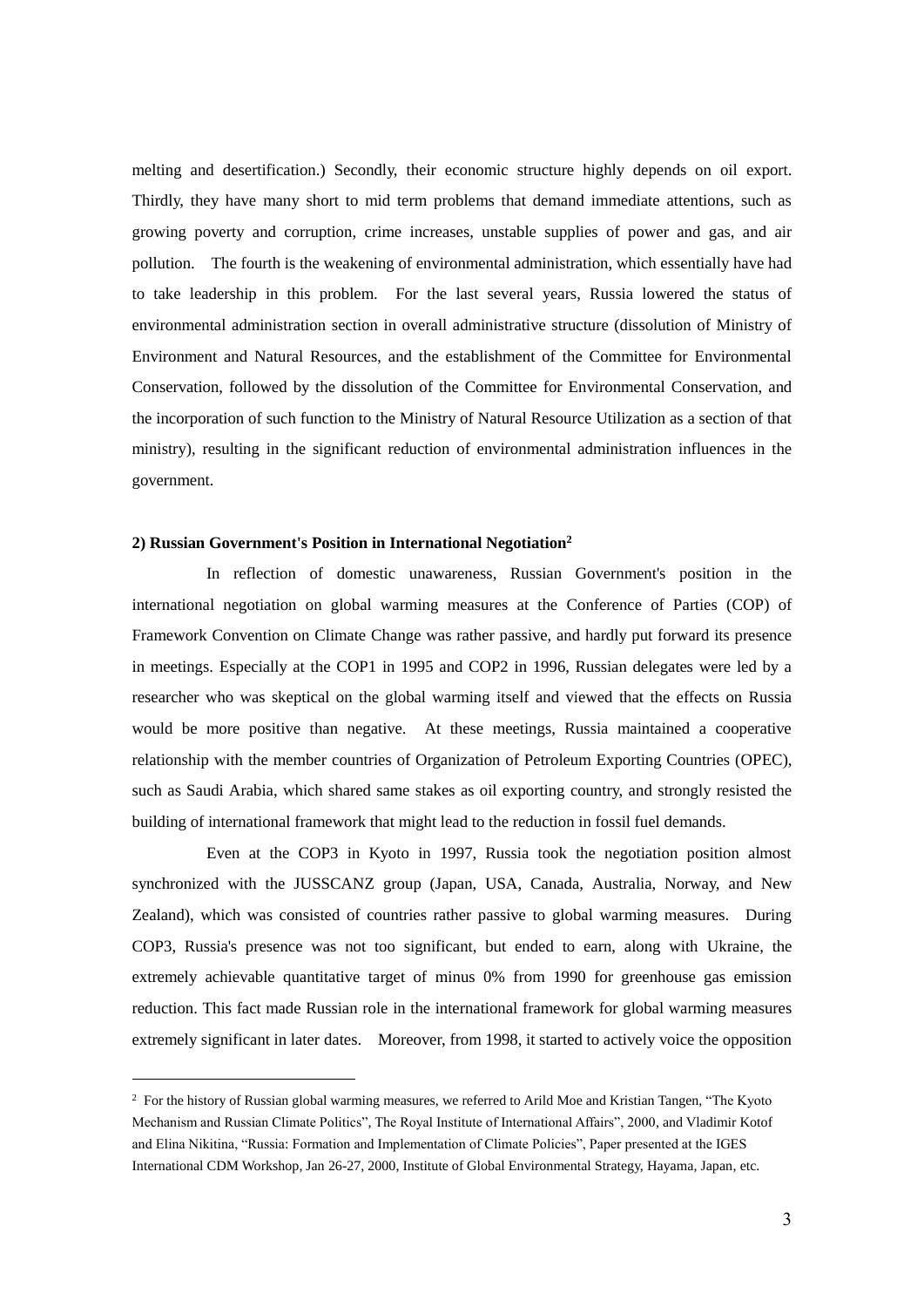melting and desertification.) Secondly, their economic structure highly depends on oil export. Thirdly, they have many short to mid term problems that demand immediate attentions, such as growing poverty and corruption, crime increases, unstable supplies of power and gas, and air pollution. The fourth is the weakening of environmental administration, which essentially have had to take leadership in this problem. For the last several years, Russia lowered the status of environmental administration section in overall administrative structure (dissolution of Ministry of Environment and Natural Resources, and the establishment of the Committee for Environmental Conservation, followed by the dissolution of the Committee for Environmental Conservation, and the incorporation of such function to the Ministry of Natural Resource Utilization as a section of that ministry), resulting in the significant reduction of environmental administration influences in the government.

# **2) Russian Government's Position in International Negotiation<sup>2</sup>**

1

In reflection of domestic unawareness, Russian Government's position in the international negotiation on global warming measures at the Conference of Parties (COP) of Framework Convention on Climate Change was rather passive, and hardly put forward its presence in meetings. Especially at the COP1 in 1995 and COP2 in 1996, Russian delegates were led by a researcher who was skeptical on the global warming itself and viewed that the effects on Russia would be more positive than negative. At these meetings, Russia maintained a cooperative relationship with the member countries of Organization of Petroleum Exporting Countries (OPEC), such as Saudi Arabia, which shared same stakes as oil exporting country, and strongly resisted the building of international framework that might lead to the reduction in fossil fuel demands.

Even at the COP3 in Kyoto in 1997, Russia took the negotiation position almost synchronized with the JUSSCANZ group (Japan, USA, Canada, Australia, Norway, and New Zealand), which was consisted of countries rather passive to global warming measures. During COP3, Russia's presence was not too significant, but ended to earn, along with Ukraine, the extremely achievable quantitative target of minus 0% from 1990 for greenhouse gas emission reduction. This fact made Russian role in the international framework for global warming measures extremely significant in later dates. Moreover, from 1998, it started to actively voice the opposition

<sup>2</sup> For the history of Russian global warming measures, we referred to Arild Moe and Kristian Tangen, "The Kyoto Mechanism and Russian Climate Politics"*,* The Royal Institute of International Affairs", 2000, and Vladimir Kotof and Elina Nikitina, "Russia: Formation and Implementation of Climate Policies", Paper presented at the IGES International CDM Workshop, Jan 26-27, 2000, Institute of Global Environmental Strategy, Hayama, Japan, etc.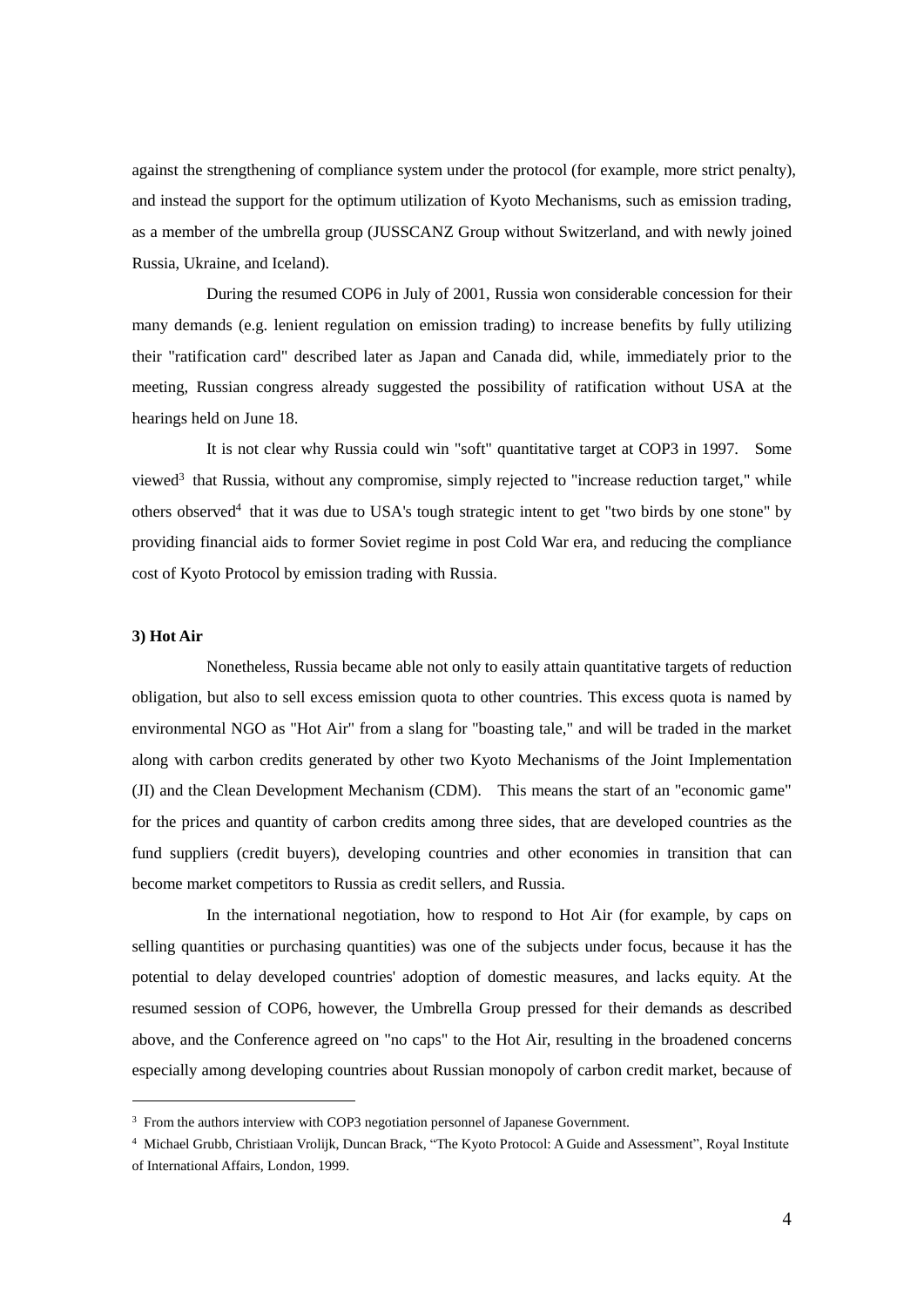against the strengthening of compliance system under the protocol (for example, more strict penalty), and instead the support for the optimum utilization of Kyoto Mechanisms, such as emission trading, as a member of the umbrella group (JUSSCANZ Group without Switzerland, and with newly joined Russia, Ukraine, and Iceland).

During the resumed COP6 in July of 2001, Russia won considerable concession for their many demands (e.g. lenient regulation on emission trading) to increase benefits by fully utilizing their "ratification card" described later as Japan and Canada did, while, immediately prior to the meeting, Russian congress already suggested the possibility of ratification without USA at the hearings held on June 18.

It is not clear why Russia could win "soft" quantitative target at COP3 in 1997. Some viewed<sup>3</sup> that Russia, without any compromise, simply rejected to "increase reduction target," while others observed<sup>4</sup> that it was due to USA's tough strategic intent to get "two birds by one stone" by providing financial aids to former Soviet regime in post Cold War era, and reducing the compliance cost of Kyoto Protocol by emission trading with Russia.

# **3) Hot Air**

1

Nonetheless, Russia became able not only to easily attain quantitative targets of reduction obligation, but also to sell excess emission quota to other countries. This excess quota is named by environmental NGO as "Hot Air" from a slang for "boasting tale," and will be traded in the market along with carbon credits generated by other two Kyoto Mechanisms of the Joint Implementation (JI) and the Clean Development Mechanism (CDM). This means the start of an "economic game" for the prices and quantity of carbon credits among three sides, that are developed countries as the fund suppliers (credit buyers), developing countries and other economies in transition that can become market competitors to Russia as credit sellers, and Russia.

In the international negotiation, how to respond to Hot Air (for example, by caps on selling quantities or purchasing quantities) was one of the subjects under focus, because it has the potential to delay developed countries' adoption of domestic measures, and lacks equity. At the resumed session of COP6, however, the Umbrella Group pressed for their demands as described above, and the Conference agreed on "no caps" to the Hot Air, resulting in the broadened concerns especially among developing countries about Russian monopoly of carbon credit market, because of

<sup>3</sup> From the authors interview with COP3 negotiation personnel of Japanese Government.

<sup>4</sup> Michael Grubb, Christiaan Vrolijk, Duncan Brack, "The Kyoto Protocol: A Guide and Assessment", Royal Institute of International Affairs, London, 1999.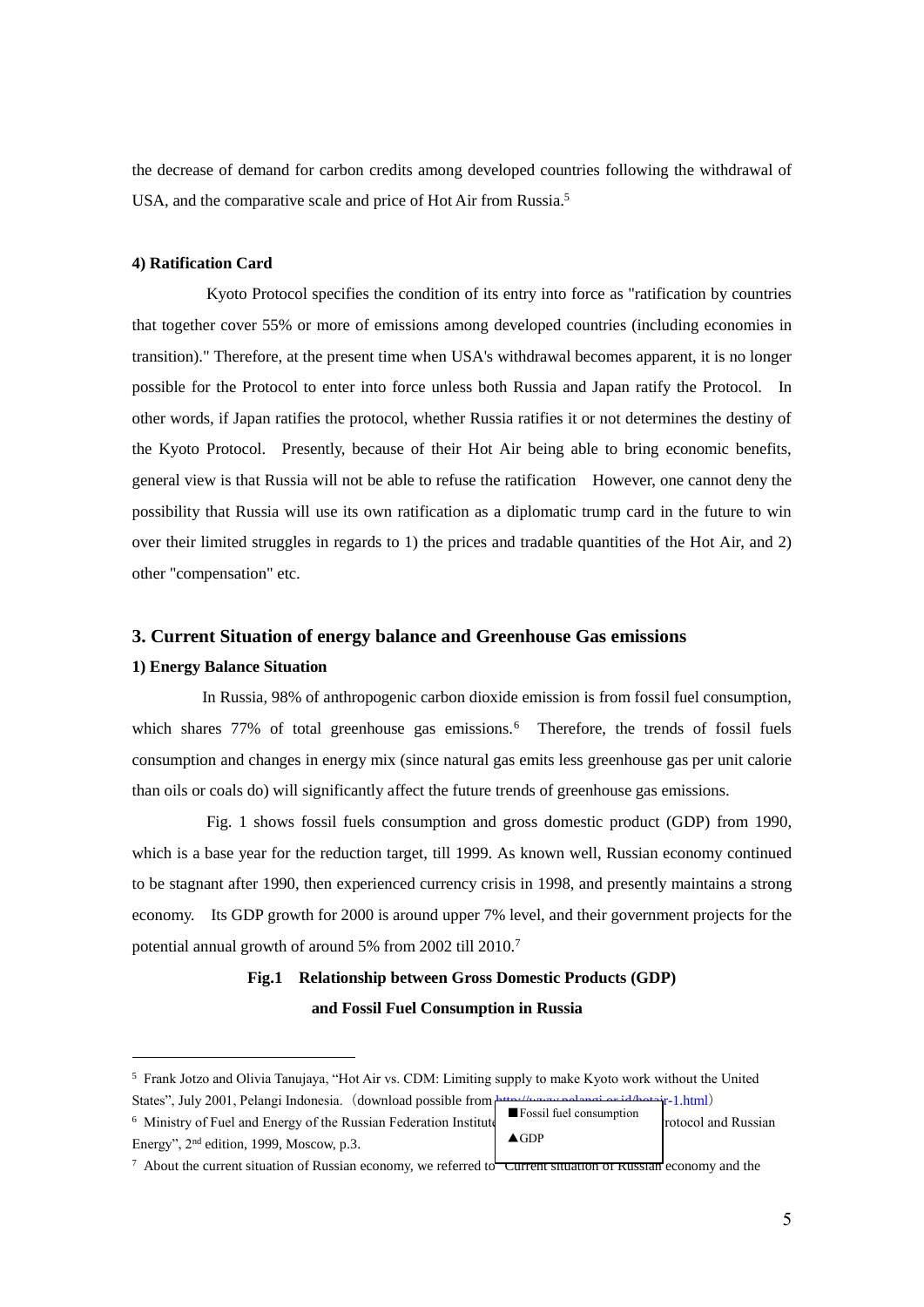the decrease of demand for carbon credits among developed countries following the withdrawal of USA, and the comparative scale and price of Hot Air from Russia.<sup>5</sup>

# **4) Ratification Card**

Kyoto Protocol specifies the condition of its entry into force as "ratification by countries that together cover 55% or more of emissions among developed countries (including economies in transition)." Therefore, at the present time when USA's withdrawal becomes apparent, it is no longer possible for the Protocol to enter into force unless both Russia and Japan ratify the Protocol. In other words, if Japan ratifies the protocol, whether Russia ratifies it or not determines the destiny of the Kyoto Protocol. Presently, because of their Hot Air being able to bring economic benefits, general view is that Russia will not be able to refuse the ratification However, one cannot deny the possibility that Russia will use its own ratification as a diplomatic trump card in the future to win over their limited struggles in regards to 1) the prices and tradable quantities of the Hot Air, and 2) other "compensation" etc.

# **3. Current Situation of energy balance and Greenhouse Gas emissions**

## **1) Energy Balance Situation**

1

In Russia, 98% of anthropogenic carbon dioxide emission is from fossil fuel consumption, which shares 77% of total greenhouse gas emissions.<sup>6</sup> Therefore, the trends of fossil fuels consumption and changes in energy mix (since natural gas emits less greenhouse gas per unit calorie than oils or coals do) will significantly affect the future trends of greenhouse gas emissions.

Fig. 1 shows fossil fuels consumption and gross domestic product (GDP) from 1990, which is a base year for the reduction target, till 1999. As known well, Russian economy continued to be stagnant after 1990, then experienced currency crisis in 1998, and presently maintains a strong economy. Its GDP growth for 2000 is around upper 7% level, and their government projects for the potential annual growth of around 5% from 2002 till 2010.<sup>7</sup>

# **Fig.1 Relationship between Gross Domestic Products (GDP) and Fossil Fuel Consumption in Russia**

<sup>5</sup> Frank Jotzo and Olivia Tanujaya, "Hot Air vs. CDM: Limiting supply to make Kyoto work without the United States", July 2001, Pelangi Indonesia. (download possible fro[m http://www.pelangi.or.id/hotair-1.html](http://www.pelangi.or.id/hotair-1.html))

|                                                                              |                                        | $\sim$ $\sim$ $\sim$ $\sim$ $\sim$ $\sim$ $\sim$ |
|------------------------------------------------------------------------------|----------------------------------------|--------------------------------------------------|
| <sup>6</sup> Ministry of Fuel and Energy of the Russian Federation Institute | <b>Example Fossil fuel consumption</b> | rotocol and Russian                              |
| Energy", $2nd$ edition, 1999, Moscow, p.3.                                   | $\triangle$ GDP                        |                                                  |

 $\frac{7}{1}$  About the current situation of Russian economy, we referred to  $\overline{r}$  Current situation of Russian economy and the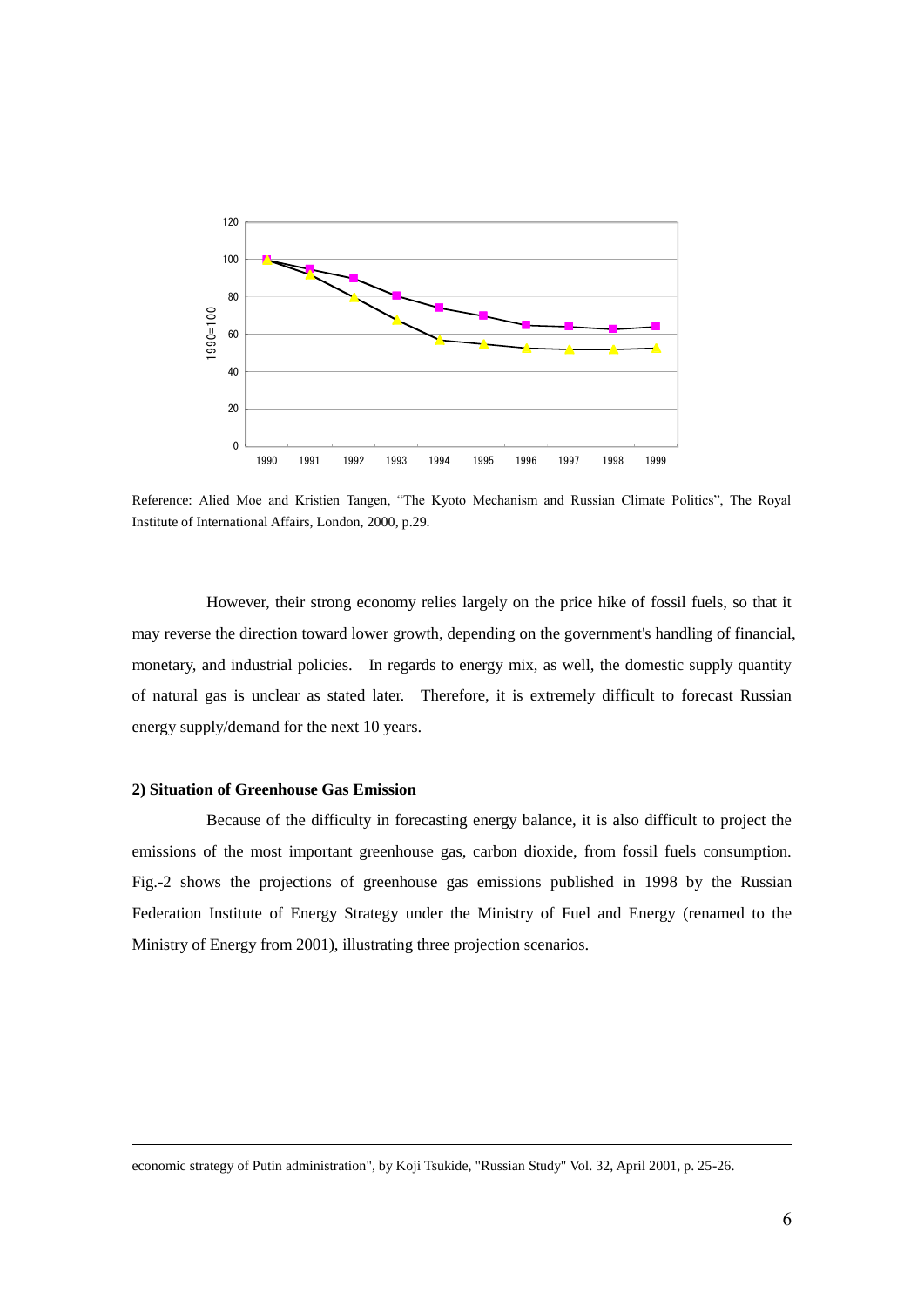

Reference: Alied Moe and Kristien Tangen, "The Kyoto Mechanism and Russian Climate Politics", The Royal Institute of International Affairs, London, 2000, p.29.

However, their strong economy relies largely on the price hike of fossil fuels, so that it may reverse the direction toward lower growth, depending on the government's handling of financial, monetary, and industrial policies. In regards to energy mix, as well, the domestic supply quantity of natural gas is unclear as stated later. Therefore, it is extremely difficult to forecast Russian energy supply/demand for the next 10 years.

# **2) Situation of Greenhouse Gas Emission**

1

Because of the difficulty in forecasting energy balance, it is also difficult to project the emissions of the most important greenhouse gas, carbon dioxide, from fossil fuels consumption. Fig.-2 shows the projections of greenhouse gas emissions published in 1998 by the Russian Federation Institute of Energy Strategy under the Ministry of Fuel and Energy (renamed to the Ministry of Energy from 2001), illustrating three projection scenarios.

economic strategy of Putin administration", by Koji Tsukide, "Russian Study" Vol. 32, April 2001, p. 25-26.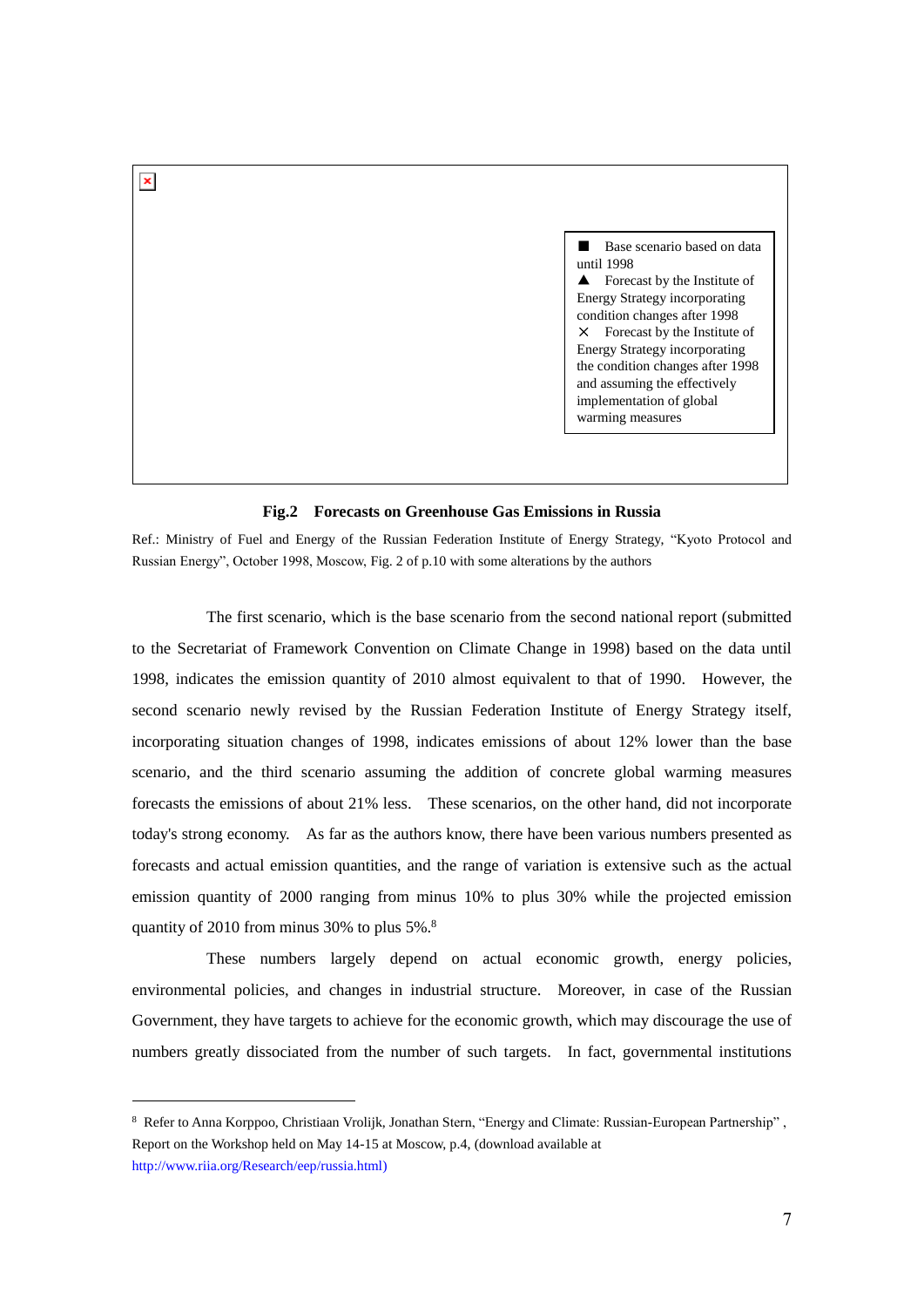■ Base scenario based on data until 1998  $\triangle$  Forecast by the Institute of Energy Strategy incorporating condition changes after 1998  $\times$  Forecast by the Institute of Energy Strategy incorporating the condition changes after 1998 and assuming the effectively implementation of global warming measures

## **Fig.2 Forecasts on Greenhouse Gas Emissions in Russia**

Ref.: Ministry of Fuel and Energy of the Russian Federation Institute of Energy Strategy, "Kyoto Protocol and Russian Energy", October 1998, Moscow, Fig. 2 of p.10 with some alterations by the authors

The first scenario, which is the base scenario from the second national report (submitted to the Secretariat of Framework Convention on Climate Change in 1998) based on the data until 1998, indicates the emission quantity of 2010 almost equivalent to that of 1990. However, the second scenario newly revised by the Russian Federation Institute of Energy Strategy itself, incorporating situation changes of 1998, indicates emissions of about 12% lower than the base scenario, and the third scenario assuming the addition of concrete global warming measures forecasts the emissions of about 21% less. These scenarios, on the other hand, did not incorporate today's strong economy. As far as the authors know, there have been various numbers presented as forecasts and actual emission quantities, and the range of variation is extensive such as the actual emission quantity of 2000 ranging from minus 10% to plus 30% while the projected emission quantity of 2010 from minus 30% to plus 5%.<sup>8</sup>

These numbers largely depend on actual economic growth, energy policies, environmental policies, and changes in industrial structure. Moreover, in case of the Russian Government, they have targets to achieve for the economic growth, which may discourage the use of numbers greatly dissociated from the number of such targets. In fact, governmental institutions

1

 $\pmb{\times}$ 

<sup>8</sup> Refer to Anna Korppoo, Christiaan Vrolijk, Jonathan Stern, "Energy and Climate: Russian-European Partnership" , Report on the Workshop held on May 14-15 at Moscow, p.4, (download available at [http://www.riia.org/Research/eep/russia.html\)](http://www.riia.org/Research/eep/russia.html)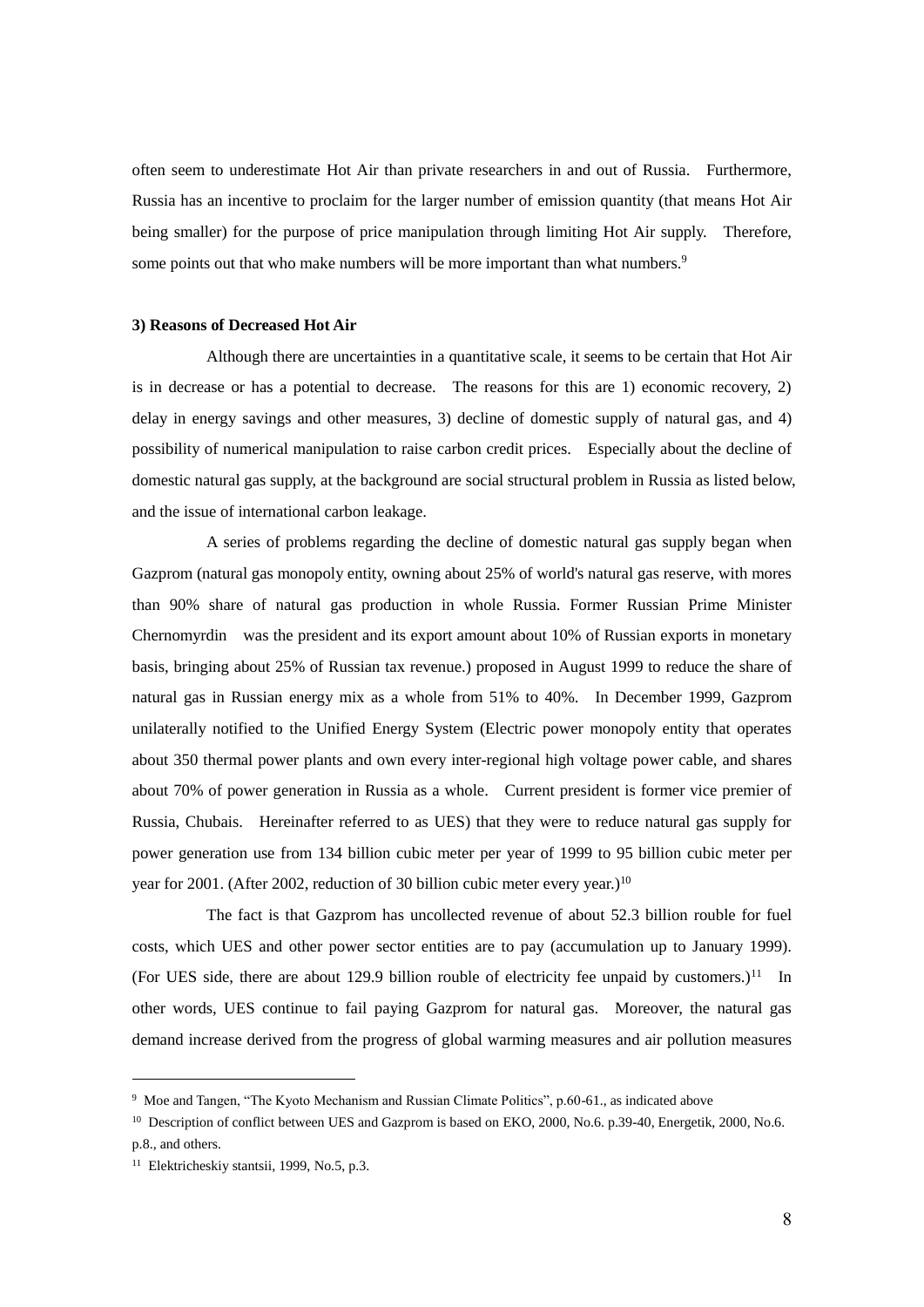often seem to underestimate Hot Air than private researchers in and out of Russia. Furthermore, Russia has an incentive to proclaim for the larger number of emission quantity (that means Hot Air being smaller) for the purpose of price manipulation through limiting Hot Air supply. Therefore, some points out that who make numbers will be more important than what numbers.<sup>9</sup>

#### **3) Reasons of Decreased Hot Air**

Although there are uncertainties in a quantitative scale, it seems to be certain that Hot Air is in decrease or has a potential to decrease. The reasons for this are 1) economic recovery, 2) delay in energy savings and other measures, 3) decline of domestic supply of natural gas, and 4) possibility of numerical manipulation to raise carbon credit prices. Especially about the decline of domestic natural gas supply, at the background are social structural problem in Russia as listed below, and the issue of international carbon leakage.

A series of problems regarding the decline of domestic natural gas supply began when Gazprom (natural gas monopoly entity, owning about 25% of world's natural gas reserve, with mores than 90% share of natural gas production in whole Russia. Former Russian Prime Minister Chernomyrdin was the president and its export amount about 10% of Russian exports in monetary basis, bringing about 25% of Russian tax revenue.) proposed in August 1999 to reduce the share of natural gas in Russian energy mix as a whole from 51% to 40%. In December 1999, Gazprom unilaterally notified to the Unified Energy System (Electric power monopoly entity that operates about 350 thermal power plants and own every inter-regional high voltage power cable, and shares about 70% of power generation in Russia as a whole. Current president is former vice premier of Russia, Chubais. Hereinafter referred to as UES) that they were to reduce natural gas supply for power generation use from 134 billion cubic meter per year of 1999 to 95 billion cubic meter per year for 2001. (After 2002, reduction of 30 billion cubic meter every year.)<sup>10</sup>

The fact is that Gazprom has uncollected revenue of about 52.3 billion rouble for fuel costs, which UES and other power sector entities are to pay (accumulation up to January 1999). (For UES side, there are about 129.9 billion rouble of electricity fee unpaid by customers.)<sup>11</sup> In other words, UES continue to fail paying Gazprom for natural gas. Moreover, the natural gas demand increase derived from the progress of global warming measures and air pollution measures

<sup>9</sup> Moe and Tangen, "The Kyoto Mechanism and Russian Climate Politics", p.60-61., as indicated above

<sup>&</sup>lt;sup>10</sup> Description of conflict between UES and Gazprom is based on EKO, 2000, No.6. p.39-40, Energetik, 2000, No.6. p.8., and others.

<sup>11</sup> Elektricheskiy stantsii, 1999, No.5, p.3.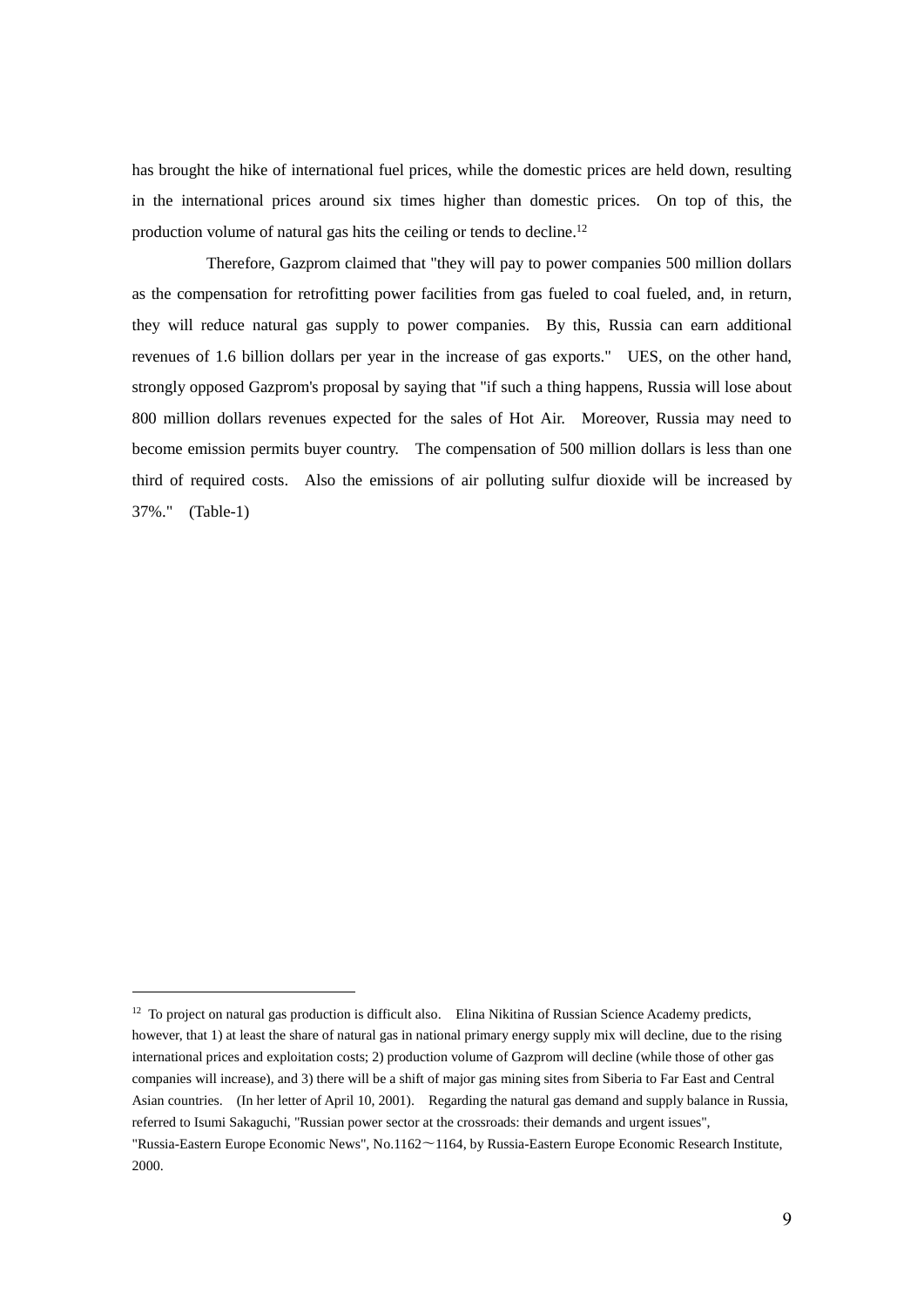has brought the hike of international fuel prices, while the domestic prices are held down, resulting in the international prices around six times higher than domestic prices. On top of this, the production volume of natural gas hits the ceiling or tends to decline.<sup>12</sup>

Therefore, Gazprom claimed that "they will pay to power companies 500 million dollars as the compensation for retrofitting power facilities from gas fueled to coal fueled, and, in return, they will reduce natural gas supply to power companies. By this, Russia can earn additional revenues of 1.6 billion dollars per year in the increase of gas exports." UES, on the other hand, strongly opposed Gazprom's proposal by saying that "if such a thing happens, Russia will lose about 800 million dollars revenues expected for the sales of Hot Air. Moreover, Russia may need to become emission permits buyer country. The compensation of 500 million dollars is less than one third of required costs. Also the emissions of air polluting sulfur dioxide will be increased by 37%." (Table-1)

<sup>&</sup>lt;sup>12</sup> To project on natural gas production is difficult also. Elina Nikitina of Russian Science Academy predicts, however, that 1) at least the share of natural gas in national primary energy supply mix will decline, due to the rising international prices and exploitation costs; 2) production volume of Gazprom will decline (while those of other gas companies will increase), and 3) there will be a shift of major gas mining sites from Siberia to Far East and Central Asian countries. (In her letter of April 10, 2001). Regarding the natural gas demand and supply balance in Russia, referred to Isumi Sakaguchi, "Russian power sector at the crossroads: their demands and urgent issues",

<sup>&</sup>quot;Russia-Eastern Europe Economic News", No.1162〜1164, by Russia-Eastern Europe Economic Research Institute, 2000.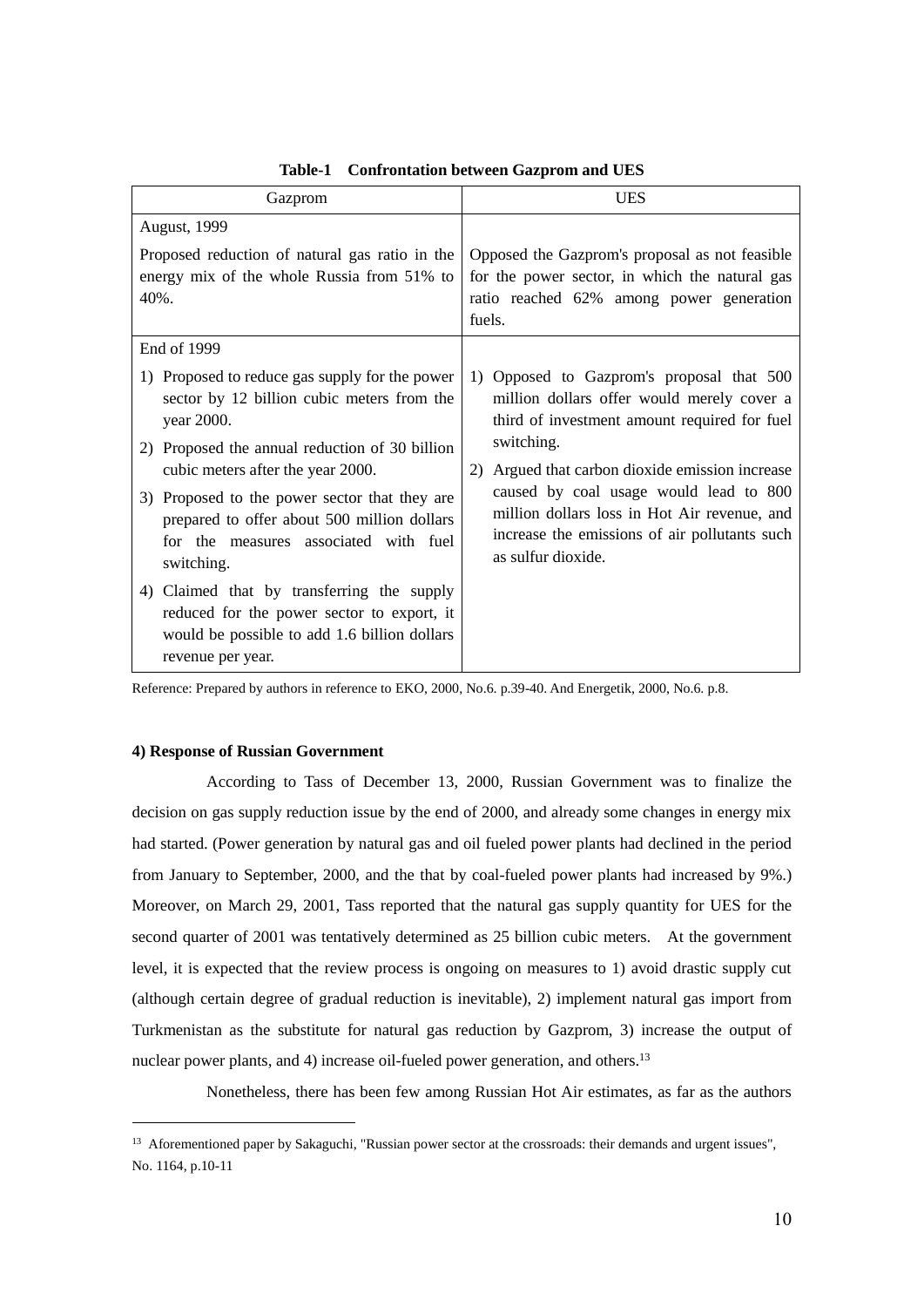| Gazprom                                                                                                                                                       | <b>UES</b>                                                                                                                                                    |  |
|---------------------------------------------------------------------------------------------------------------------------------------------------------------|---------------------------------------------------------------------------------------------------------------------------------------------------------------|--|
| <b>August, 1999</b>                                                                                                                                           |                                                                                                                                                               |  |
| Proposed reduction of natural gas ratio in the<br>energy mix of the whole Russia from 51% to<br>$40%$ .                                                       | Opposed the Gazprom's proposal as not feasible<br>for the power sector, in which the natural gas<br>ratio reached 62% among power generation<br>fuels.        |  |
| End of 1999                                                                                                                                                   |                                                                                                                                                               |  |
| 1) Proposed to reduce gas supply for the power<br>sector by 12 billion cubic meters from the<br>year 2000.                                                    | 1) Opposed to Gazprom's proposal that 500<br>million dollars offer would merely cover a<br>third of investment amount required for fuel<br>switching.         |  |
| 2) Proposed the annual reduction of 30 billion<br>cubic meters after the year 2000.                                                                           | 2) Argued that carbon dioxide emission increase                                                                                                               |  |
| 3) Proposed to the power sector that they are<br>prepared to offer about 500 million dollars<br>for the measures associated with fuel<br>switching.           | caused by coal usage would lead to 800<br>million dollars loss in Hot Air revenue, and<br>increase the emissions of air pollutants such<br>as sulfur dioxide. |  |
| 4) Claimed that by transferring the supply<br>reduced for the power sector to export, it<br>would be possible to add 1.6 billion dollars<br>revenue per year. |                                                                                                                                                               |  |

**Table-1 Confrontation between Gazprom and UES**

Reference: Prepared by authors in reference to EKO, 2000, No.6. p.39-40. And Energetik, 2000, No.6. p.8.

# **4) Response of Russian Government**

1

According to Tass of December 13, 2000, Russian Government was to finalize the decision on gas supply reduction issue by the end of 2000, and already some changes in energy mix had started. (Power generation by natural gas and oil fueled power plants had declined in the period from January to September, 2000, and the that by coal-fueled power plants had increased by 9%.) Moreover, on March 29, 2001, Tass reported that the natural gas supply quantity for UES for the second quarter of 2001 was tentatively determined as 25 billion cubic meters. At the government level, it is expected that the review process is ongoing on measures to 1) avoid drastic supply cut (although certain degree of gradual reduction is inevitable), 2) implement natural gas import from Turkmenistan as the substitute for natural gas reduction by Gazprom, 3) increase the output of nuclear power plants, and 4) increase oil-fueled power generation, and others.<sup>13</sup>

Nonetheless, there has been few among Russian Hot Air estimates, as far as the authors

<sup>&</sup>lt;sup>13</sup> Aforementioned paper by Sakaguchi, "Russian power sector at the crossroads: their demands and urgent issues", No. 1164, p.10-11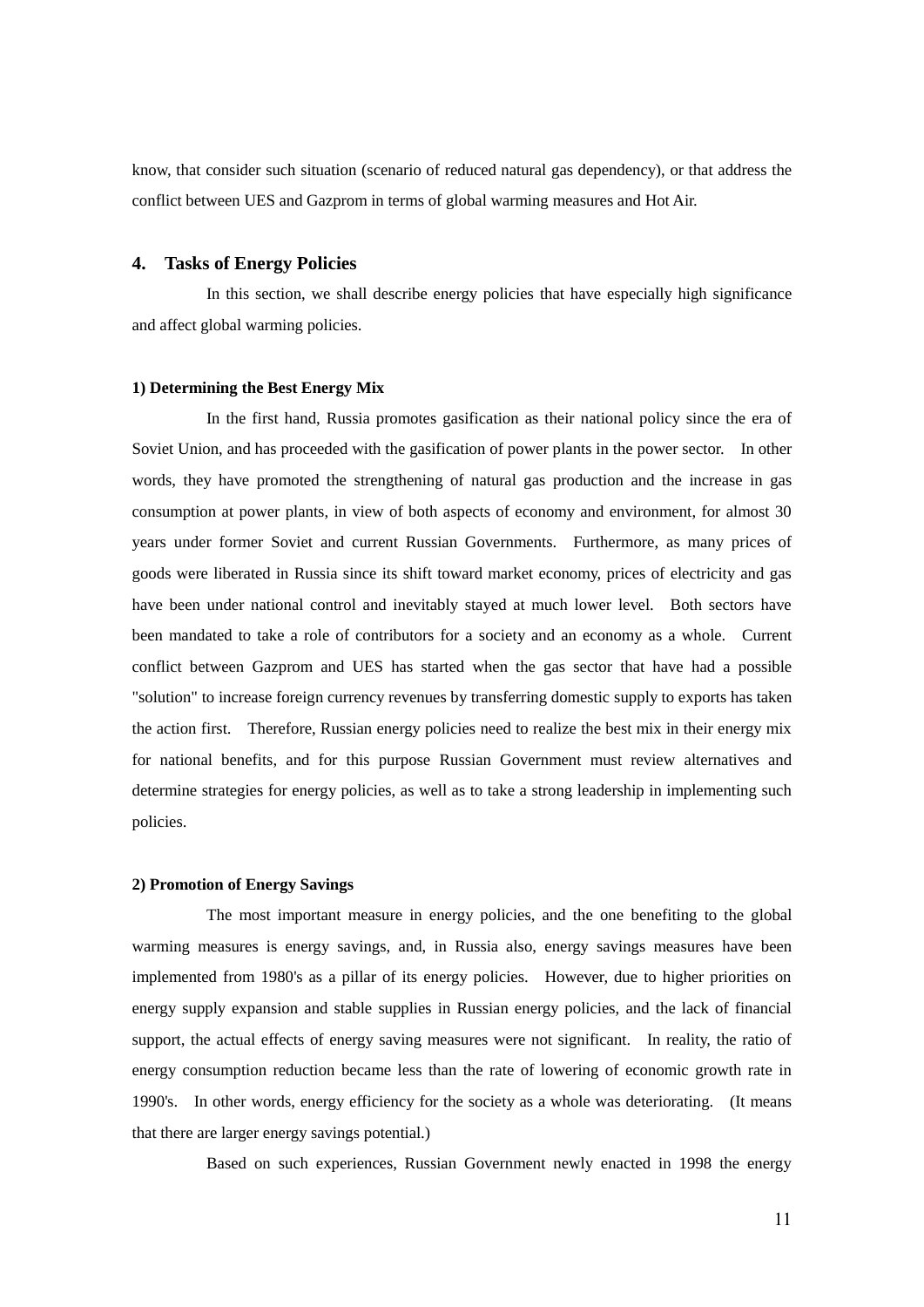know, that consider such situation (scenario of reduced natural gas dependency), or that address the conflict between UES and Gazprom in terms of global warming measures and Hot Air.

# **4. Tasks of Energy Policies**

In this section, we shall describe energy policies that have especially high significance and affect global warming policies.

## **1) Determining the Best Energy Mix**

In the first hand, Russia promotes gasification as their national policy since the era of Soviet Union, and has proceeded with the gasification of power plants in the power sector. In other words, they have promoted the strengthening of natural gas production and the increase in gas consumption at power plants, in view of both aspects of economy and environment, for almost 30 years under former Soviet and current Russian Governments. Furthermore, as many prices of goods were liberated in Russia since its shift toward market economy, prices of electricity and gas have been under national control and inevitably stayed at much lower level. Both sectors have been mandated to take a role of contributors for a society and an economy as a whole. Current conflict between Gazprom and UES has started when the gas sector that have had a possible "solution" to increase foreign currency revenues by transferring domestic supply to exports has taken the action first. Therefore, Russian energy policies need to realize the best mix in their energy mix for national benefits, and for this purpose Russian Government must review alternatives and determine strategies for energy policies, as well as to take a strong leadership in implementing such policies.

#### **2) Promotion of Energy Savings**

The most important measure in energy policies, and the one benefiting to the global warming measures is energy savings, and, in Russia also, energy savings measures have been implemented from 1980's as a pillar of its energy policies. However, due to higher priorities on energy supply expansion and stable supplies in Russian energy policies, and the lack of financial support, the actual effects of energy saving measures were not significant. In reality, the ratio of energy consumption reduction became less than the rate of lowering of economic growth rate in 1990's. In other words, energy efficiency for the society as a whole was deteriorating. (It means that there are larger energy savings potential.)

Based on such experiences, Russian Government newly enacted in 1998 the energy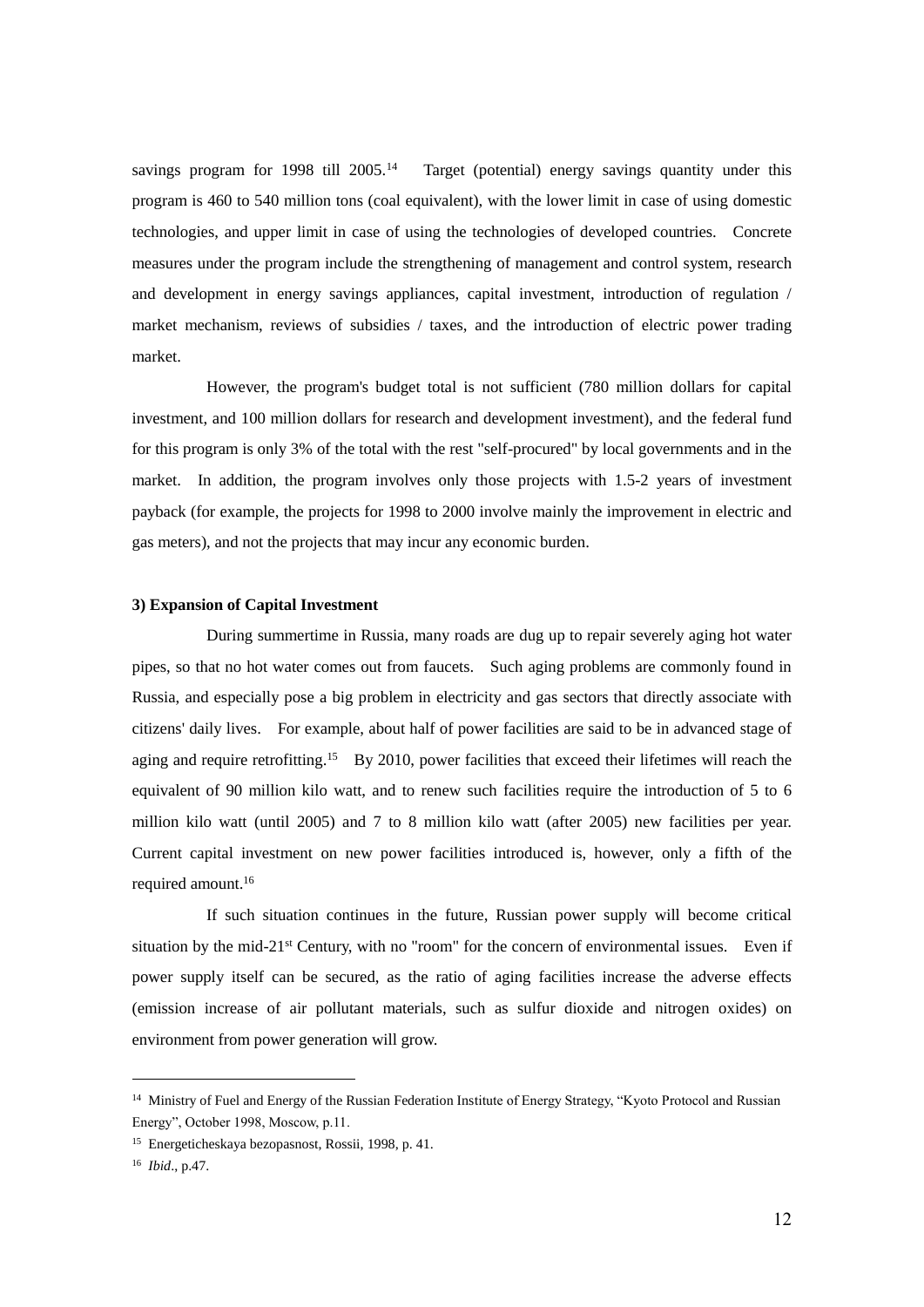savings program for 1998 till 2005.<sup>14</sup> Target (potential) energy savings quantity under this program is 460 to 540 million tons (coal equivalent), with the lower limit in case of using domestic technologies, and upper limit in case of using the technologies of developed countries. Concrete measures under the program include the strengthening of management and control system, research and development in energy savings appliances, capital investment, introduction of regulation / market mechanism, reviews of subsidies / taxes, and the introduction of electric power trading market.

However, the program's budget total is not sufficient (780 million dollars for capital investment, and 100 million dollars for research and development investment), and the federal fund for this program is only 3% of the total with the rest "self-procured" by local governments and in the market. In addition, the program involves only those projects with 1.5-2 years of investment payback (for example, the projects for 1998 to 2000 involve mainly the improvement in electric and gas meters), and not the projects that may incur any economic burden.

## **3) Expansion of Capital Investment**

During summertime in Russia, many roads are dug up to repair severely aging hot water pipes, so that no hot water comes out from faucets. Such aging problems are commonly found in Russia, and especially pose a big problem in electricity and gas sectors that directly associate with citizens' daily lives. For example, about half of power facilities are said to be in advanced stage of aging and require retrofitting.<sup>15</sup> By 2010, power facilities that exceed their lifetimes will reach the equivalent of 90 million kilo watt, and to renew such facilities require the introduction of 5 to 6 million kilo watt (until 2005) and 7 to 8 million kilo watt (after 2005) new facilities per year. Current capital investment on new power facilities introduced is, however, only a fifth of the required amount.<sup>16</sup>

If such situation continues in the future, Russian power supply will become critical situation by the mid-21<sup>st</sup> Century, with no "room" for the concern of environmental issues. Even if power supply itself can be secured, as the ratio of aging facilities increase the adverse effects (emission increase of air pollutant materials, such as sulfur dioxide and nitrogen oxides) on environment from power generation will grow.

<sup>&</sup>lt;sup>14</sup> Ministry of Fuel and Energy of the Russian Federation Institute of Energy Strategy, "Kyoto Protocol and Russian Energy", October 1998, Moscow, p.11.

<sup>15</sup> Energeticheskaya bezopasnost, Rossii, 1998, p. 41.

<sup>16</sup> *Ibid*., p.47.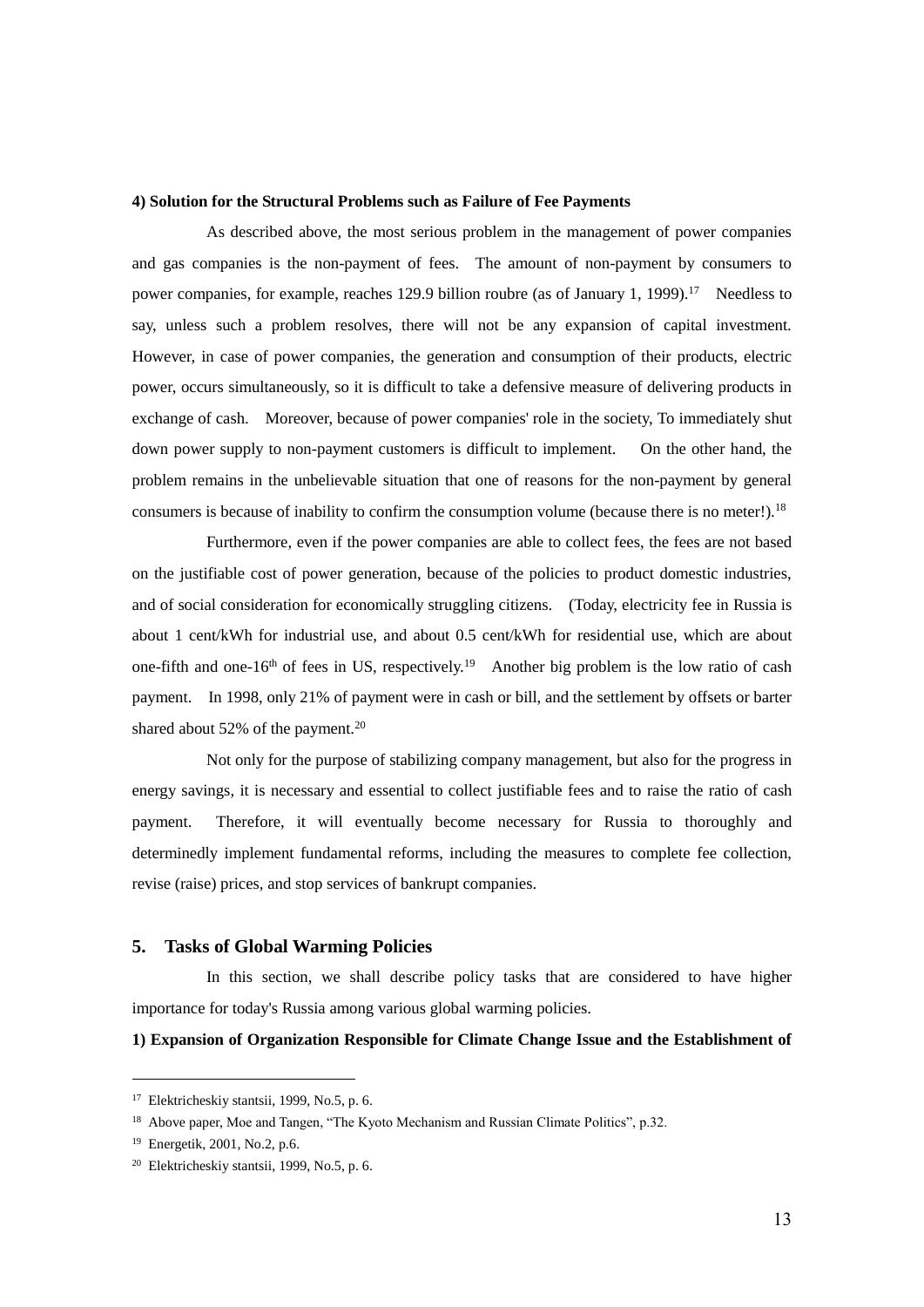# **4) Solution for the Structural Problems such as Failure of Fee Payments**

As described above, the most serious problem in the management of power companies and gas companies is the non-payment of fees. The amount of non-payment by consumers to power companies, for example, reaches 129.9 billion roubre (as of January 1, 1999).<sup>17</sup> Needless to say, unless such a problem resolves, there will not be any expansion of capital investment. However, in case of power companies, the generation and consumption of their products, electric power, occurs simultaneously, so it is difficult to take a defensive measure of delivering products in exchange of cash. Moreover, because of power companies' role in the society, To immediately shut down power supply to non-payment customers is difficult to implement. On the other hand, the problem remains in the unbelievable situation that one of reasons for the non-payment by general consumers is because of inability to confirm the consumption volume (because there is no meter!).<sup>18</sup>

Furthermore, even if the power companies are able to collect fees, the fees are not based on the justifiable cost of power generation, because of the policies to product domestic industries, and of social consideration for economically struggling citizens. (Today, electricity fee in Russia is about 1 cent/kWh for industrial use, and about 0.5 cent/kWh for residential use, which are about one-fifth and one-16<sup>th</sup> of fees in US, respectively.<sup>19</sup> Another big problem is the low ratio of cash payment. In 1998, only 21% of payment were in cash or bill, and the settlement by offsets or barter shared about  $52\%$  of the payment.<sup>20</sup>

Not only for the purpose of stabilizing company management, but also for the progress in energy savings, it is necessary and essential to collect justifiable fees and to raise the ratio of cash payment. Therefore, it will eventually become necessary for Russia to thoroughly and determinedly implement fundamental reforms, including the measures to complete fee collection, revise (raise) prices, and stop services of bankrupt companies.

# **5. Tasks of Global Warming Policies**

In this section, we shall describe policy tasks that are considered to have higher importance for today's Russia among various global warming policies.

# **1) Expansion of Organization Responsible for Climate Change Issue and the Establishment of**

<sup>17</sup> Elektricheskiy stantsii, 1999, No.5, p. 6.

<sup>&</sup>lt;sup>18</sup> Above paper, Moe and Tangen, "The Kyoto Mechanism and Russian Climate Politics", p.32.

<sup>19</sup> Energetik, 2001, No.2, p.6.

<sup>20</sup> Elektricheskiy stantsii, 1999, No.5, p. 6.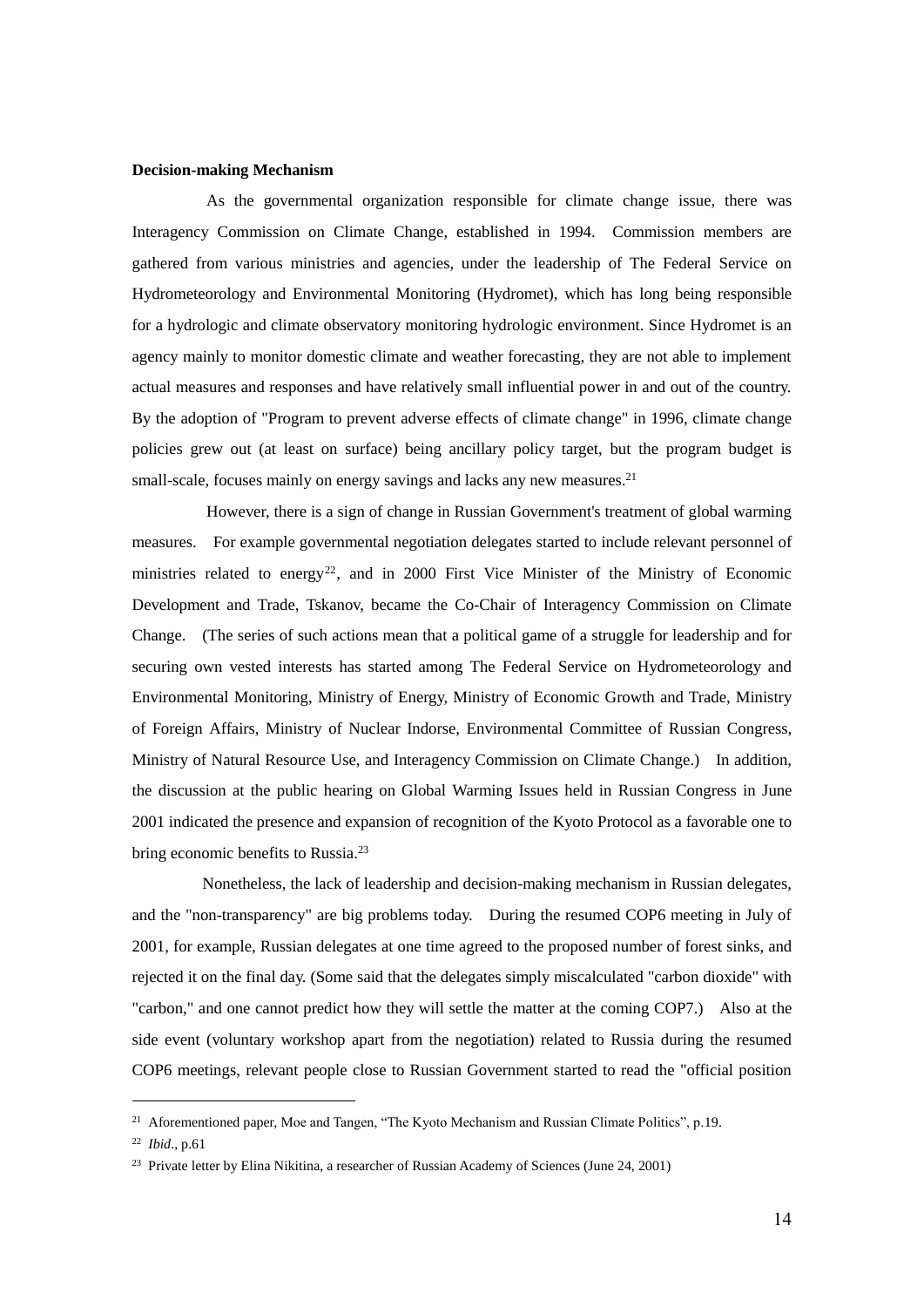### **Decision-making Mechanism**

As the governmental organization responsible for climate change issue, there was Interagency Commission on Climate Change, established in 1994. Commission members are gathered from various ministries and agencies, under the leadership of The Federal Service on Hydrometeorology and Environmental Monitoring (Hydromet), which has long being responsible for a hydrologic and climate observatory monitoring hydrologic environment. Since Hydromet is an agency mainly to monitor domestic climate and weather forecasting, they are not able to implement actual measures and responses and have relatively small influential power in and out of the country. By the adoption of "Program to prevent adverse effects of climate change" in 1996, climate change policies grew out (at least on surface) being ancillary policy target, but the program budget is small-scale, focuses mainly on energy savings and lacks any new measures.<sup>21</sup>

However, there is a sign of change in Russian Government's treatment of global warming measures. For example governmental negotiation delegates started to include relevant personnel of ministries related to energy<sup>22</sup>, and in 2000 First Vice Minister of the Ministry of Economic Development and Trade, Tskanov, became the Co-Chair of Interagency Commission on Climate Change. (The series of such actions mean that a political game of a struggle for leadership and for securing own vested interests has started among The Federal Service on Hydrometeorology and Environmental Monitoring, Ministry of Energy, Ministry of Economic Growth and Trade, Ministry of Foreign Affairs, Ministry of Nuclear Indorse, Environmental Committee of Russian Congress, Ministry of Natural Resource Use, and Interagency Commission on Climate Change.) In addition, the discussion at the public hearing on Global Warming Issues held in Russian Congress in June 2001 indicated the presence and expansion of recognition of the Kyoto Protocol as a favorable one to bring economic benefits to Russia.<sup>23</sup>

Nonetheless, the lack of leadership and decision-making mechanism in Russian delegates, and the "non-transparency" are big problems today. During the resumed COP6 meeting in July of 2001, for example, Russian delegates at one time agreed to the proposed number of forest sinks, and rejected it on the final day. (Some said that the delegates simply miscalculated "carbon dioxide" with "carbon," and one cannot predict how they will settle the matter at the coming COP7.) Also at the side event (voluntary workshop apart from the negotiation) related to Russia during the resumed COP6 meetings, relevant people close to Russian Government started to read the "official position

<sup>&</sup>lt;sup>21</sup> Aforementioned paper, Moe and Tangen, "The Kyoto Mechanism and Russian Climate Politics", p.19.

<sup>22</sup> *Ibid*., p.61

<sup>&</sup>lt;sup>23</sup> Private letter by Elina Nikitina, a researcher of Russian Academy of Sciences (June 24, 2001)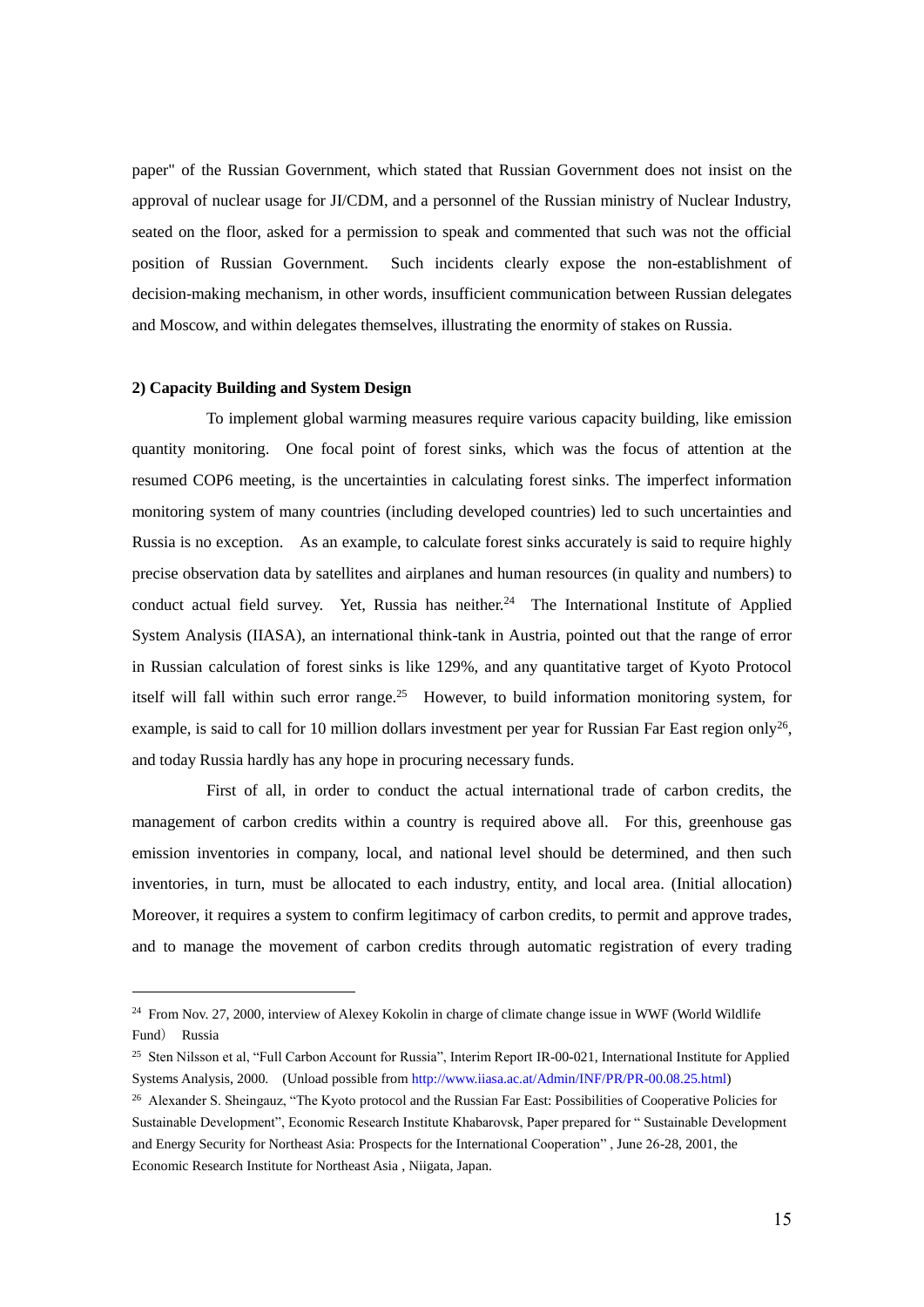paper" of the Russian Government, which stated that Russian Government does not insist on the approval of nuclear usage for JI/CDM, and a personnel of the Russian ministry of Nuclear Industry, seated on the floor, asked for a permission to speak and commented that such was not the official position of Russian Government. Such incidents clearly expose the non-establishment of decision-making mechanism, in other words, insufficient communication between Russian delegates and Moscow, and within delegates themselves, illustrating the enormity of stakes on Russia.

## **2) Capacity Building and System Design**

1

To implement global warming measures require various capacity building, like emission quantity monitoring. One focal point of forest sinks, which was the focus of attention at the resumed COP6 meeting, is the uncertainties in calculating forest sinks. The imperfect information monitoring system of many countries (including developed countries) led to such uncertainties and Russia is no exception. As an example, to calculate forest sinks accurately is said to require highly precise observation data by satellites and airplanes and human resources (in quality and numbers) to conduct actual field survey. Yet, Russia has neither.<sup>24</sup> The International Institute of Applied System Analysis (IIASA), an international think-tank in Austria, pointed out that the range of error in Russian calculation of forest sinks is like 129%, and any quantitative target of Kyoto Protocol itself will fall within such error range.<sup>25</sup> However, to build information monitoring system, for example, is said to call for 10 million dollars investment per year for Russian Far East region only<sup>26</sup>, and today Russia hardly has any hope in procuring necessary funds.

First of all, in order to conduct the actual international trade of carbon credits, the management of carbon credits within a country is required above all. For this, greenhouse gas emission inventories in company, local, and national level should be determined, and then such inventories, in turn, must be allocated to each industry, entity, and local area. (Initial allocation) Moreover, it requires a system to confirm legitimacy of carbon credits, to permit and approve trades, and to manage the movement of carbon credits through automatic registration of every trading

<sup>&</sup>lt;sup>24</sup> From Nov. 27, 2000, interview of Alexey Kokolin in charge of climate change issue in WWF (World Wildlife Fund) Russia

<sup>25</sup> Sten Nilsson et al, "Full Carbon Account for Russia", Interim Report IR-00-021, International Institute for Applied Systems Analysis, 2000. (Unload possible fro[m http://www.iiasa.ac.at/Admin/INF/PR/PR-00.08.25.html\)](http://www.iiasa.ac.at/Admin/INF/PR/PR-00.08.25.html)

<sup>&</sup>lt;sup>26</sup> Alexander S. Sheingauz, "The Kyoto protocol and the Russian Far East: Possibilities of Cooperative Policies for Sustainable Development", Economic Research Institute Khabarovsk, Paper prepared for " Sustainable Development and Energy Security for Northeast Asia: Prospects for the International Cooperation" , June 26-28, 2001, the Economic Research Institute for Northeast Asia , Niigata, Japan.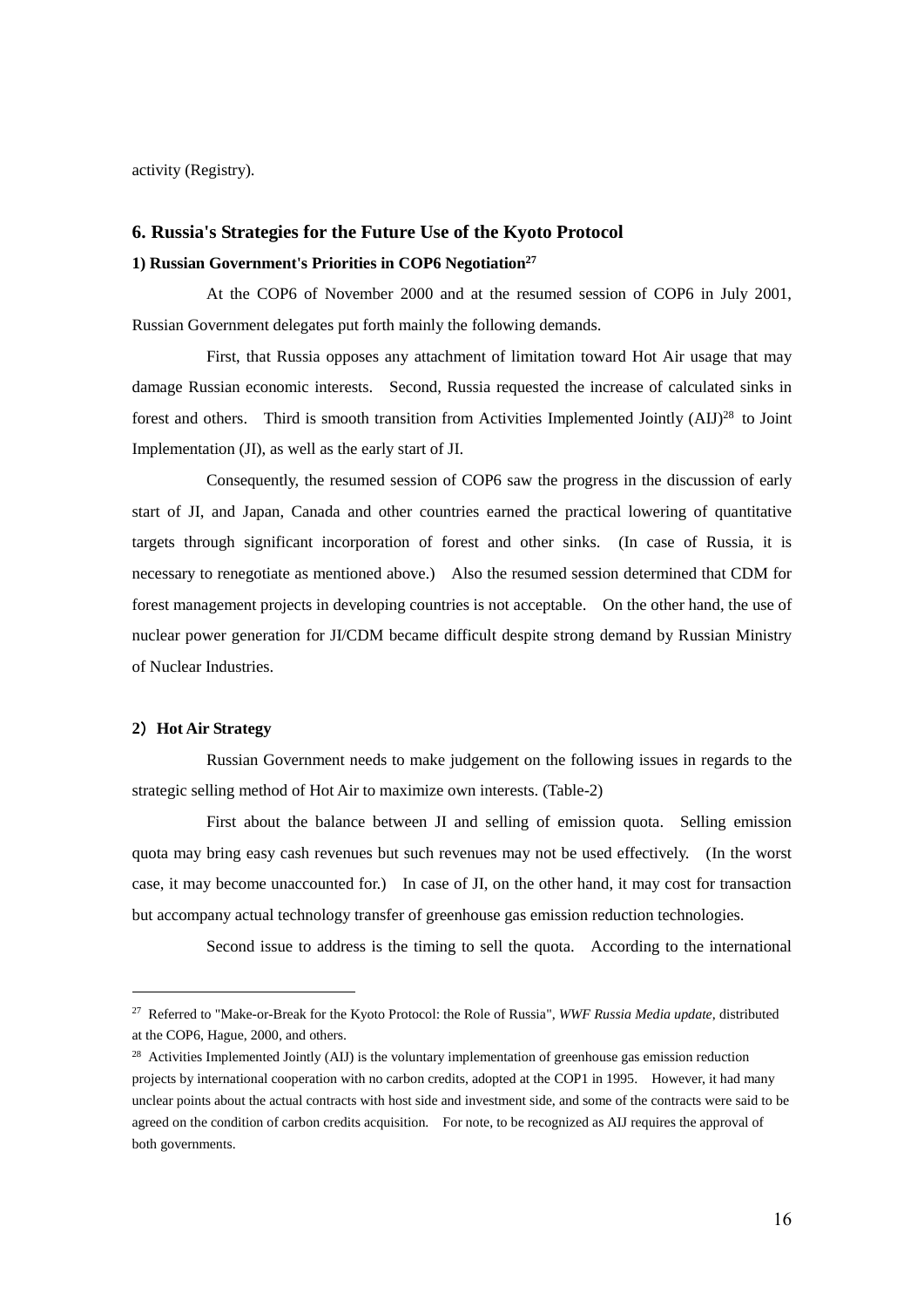activity (Registry).

# **6. Russia's Strategies for the Future Use of the Kyoto Protocol**

# **1) Russian Government's Priorities in COP6 Negotiation<sup>27</sup>**

At the COP6 of November 2000 and at the resumed session of COP6 in July 2001, Russian Government delegates put forth mainly the following demands.

First, that Russia opposes any attachment of limitation toward Hot Air usage that may damage Russian economic interests. Second, Russia requested the increase of calculated sinks in forest and others. Third is smooth transition from Activities Implemented Jointly (AIJ)<sup>28</sup> to Joint Implementation (JI), as well as the early start of JI.

Consequently, the resumed session of COP6 saw the progress in the discussion of early start of JI, and Japan, Canada and other countries earned the practical lowering of quantitative targets through significant incorporation of forest and other sinks. (In case of Russia, it is necessary to renegotiate as mentioned above.) Also the resumed session determined that CDM for forest management projects in developing countries is not acceptable. On the other hand, the use of nuclear power generation for JI/CDM became difficult despite strong demand by Russian Ministry of Nuclear Industries.

# **2**)**Hot Air Strategy**

1

Russian Government needs to make judgement on the following issues in regards to the strategic selling method of Hot Air to maximize own interests. (Table-2)

First about the balance between JI and selling of emission quota. Selling emission quota may bring easy cash revenues but such revenues may not be used effectively. (In the worst case, it may become unaccounted for.) In case of JI, on the other hand, it may cost for transaction but accompany actual technology transfer of greenhouse gas emission reduction technologies.

Second issue to address is the timing to sell the quota. According to the international

<sup>27</sup> Referred to "Make-or-Break for the Kyoto Protocol: the Role of Russia", *WWF Russia Media update*, distributed at the COP6, Hague, 2000, and others.

<sup>&</sup>lt;sup>28</sup> Activities Implemented Jointly (AIJ) is the voluntary implementation of greenhouse gas emission reduction projects by international cooperation with no carbon credits, adopted at the COP1 in 1995. However, it had many unclear points about the actual contracts with host side and investment side, and some of the contracts were said to be agreed on the condition of carbon credits acquisition. For note, to be recognized as AIJ requires the approval of both governments.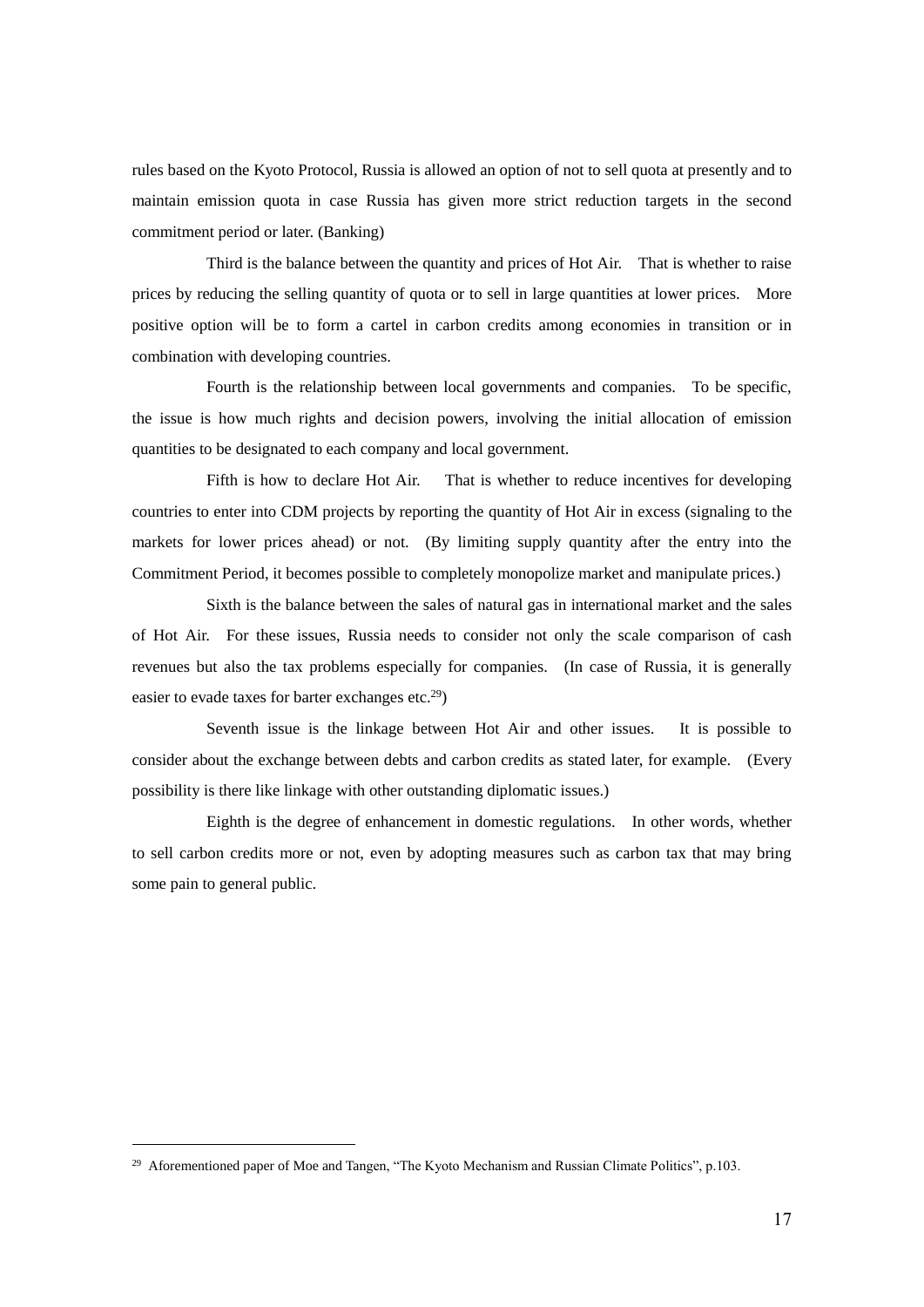rules based on the Kyoto Protocol, Russia is allowed an option of not to sell quota at presently and to maintain emission quota in case Russia has given more strict reduction targets in the second commitment period or later. (Banking)

Third is the balance between the quantity and prices of Hot Air. That is whether to raise prices by reducing the selling quantity of quota or to sell in large quantities at lower prices. More positive option will be to form a cartel in carbon credits among economies in transition or in combination with developing countries.

Fourth is the relationship between local governments and companies. To be specific, the issue is how much rights and decision powers, involving the initial allocation of emission quantities to be designated to each company and local government.

Fifth is how to declare Hot Air. That is whether to reduce incentives for developing countries to enter into CDM projects by reporting the quantity of Hot Air in excess (signaling to the markets for lower prices ahead) or not. (By limiting supply quantity after the entry into the Commitment Period, it becomes possible to completely monopolize market and manipulate prices.)

Sixth is the balance between the sales of natural gas in international market and the sales of Hot Air. For these issues, Russia needs to consider not only the scale comparison of cash revenues but also the tax problems especially for companies. (In case of Russia, it is generally easier to evade taxes for barter exchanges etc.<sup>29</sup>)

Seventh issue is the linkage between Hot Air and other issues. It is possible to consider about the exchange between debts and carbon credits as stated later, for example. (Every possibility is there like linkage with other outstanding diplomatic issues.)

Eighth is the degree of enhancement in domestic regulations. In other words, whether to sell carbon credits more or not, even by adopting measures such as carbon tax that may bring some pain to general public.

<sup>&</sup>lt;sup>29</sup> Aforementioned paper of Moe and Tangen, "The Kyoto Mechanism and Russian Climate Politics", p.103.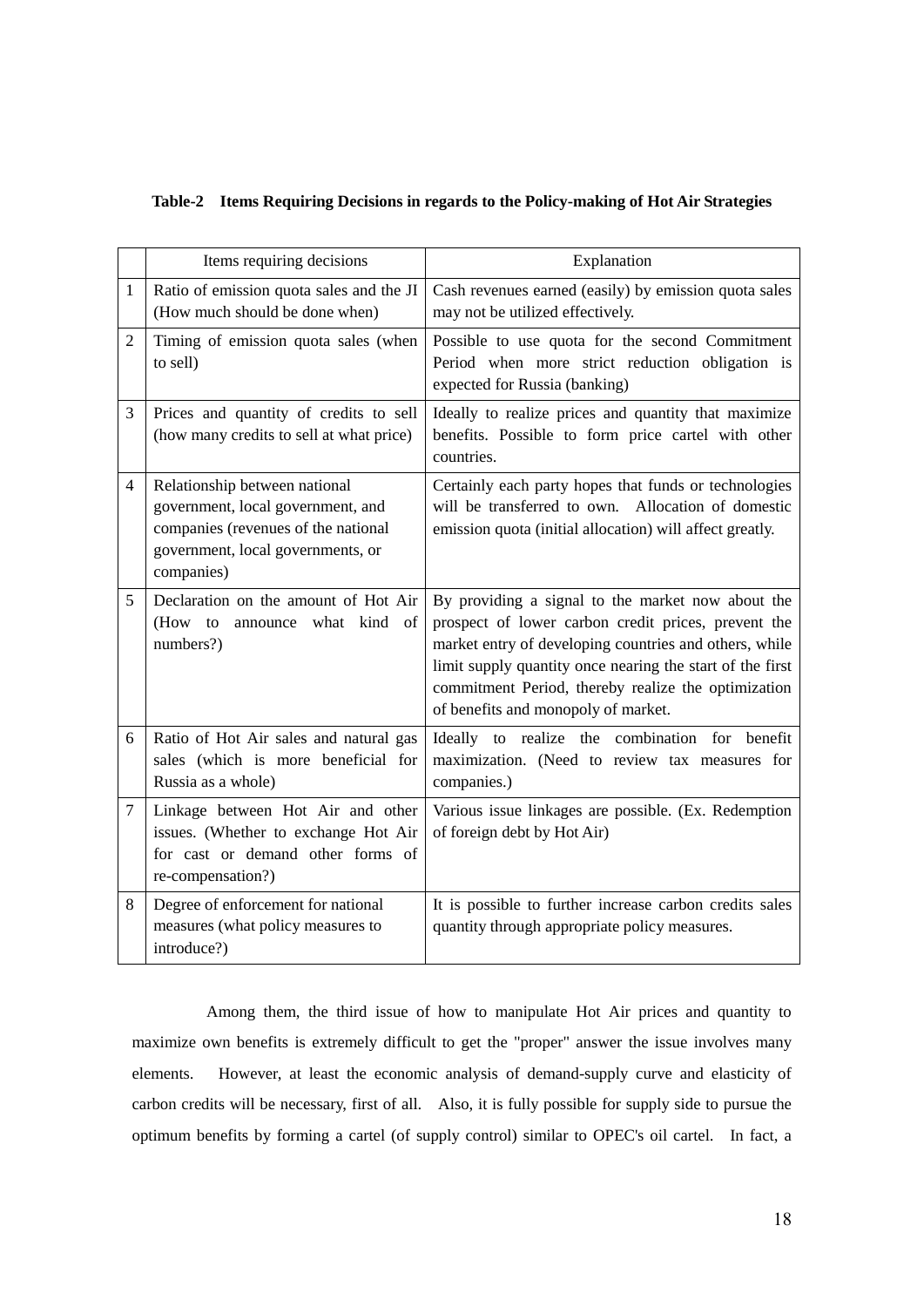|  |  |  |  |  | Table-2 Items Requiring Decisions in regards to the Policy-making of Hot Air Strategies |
|--|--|--|--|--|-----------------------------------------------------------------------------------------|
|--|--|--|--|--|-----------------------------------------------------------------------------------------|

|                | Items requiring decisions                                                                                                                                    | Explanation                                                                                                                                                                                                                                                                                                                   |
|----------------|--------------------------------------------------------------------------------------------------------------------------------------------------------------|-------------------------------------------------------------------------------------------------------------------------------------------------------------------------------------------------------------------------------------------------------------------------------------------------------------------------------|
| $\mathbf{1}$   | Ratio of emission quota sales and the JI<br>(How much should be done when)                                                                                   | Cash revenues earned (easily) by emission quota sales<br>may not be utilized effectively.                                                                                                                                                                                                                                     |
| $\overline{2}$ | Timing of emission quota sales (when<br>to sell)                                                                                                             | Possible to use quota for the second Commitment<br>Period when more strict reduction obligation is<br>expected for Russia (banking)                                                                                                                                                                                           |
| 3              | Prices and quantity of credits to sell<br>(how many credits to sell at what price)                                                                           | Ideally to realize prices and quantity that maximize<br>benefits. Possible to form price cartel with other<br>countries.                                                                                                                                                                                                      |
| $\overline{4}$ | Relationship between national<br>government, local government, and<br>companies (revenues of the national<br>government, local governments, or<br>companies) | Certainly each party hopes that funds or technologies<br>will be transferred to own. Allocation of domestic<br>emission quota (initial allocation) will affect greatly.                                                                                                                                                       |
| 5              | Declaration on the amount of Hot Air<br>(How to<br>announce what kind of<br>numbers?)                                                                        | By providing a signal to the market now about the<br>prospect of lower carbon credit prices, prevent the<br>market entry of developing countries and others, while<br>limit supply quantity once nearing the start of the first<br>commitment Period, thereby realize the optimization<br>of benefits and monopoly of market. |
| 6              | Ratio of Hot Air sales and natural gas<br>sales (which is more beneficial for<br>Russia as a whole)                                                          | Ideally to realize the combination for benefit<br>maximization. (Need to review tax measures for<br>companies.)                                                                                                                                                                                                               |
| 7              | Linkage between Hot Air and other<br>issues. (Whether to exchange Hot Air<br>for cast or demand other forms of<br>re-compensation?)                          | Various issue linkages are possible. (Ex. Redemption<br>of foreign debt by Hot Air)                                                                                                                                                                                                                                           |
| 8              | Degree of enforcement for national<br>measures (what policy measures to<br>introduce?)                                                                       | It is possible to further increase carbon credits sales<br>quantity through appropriate policy measures.                                                                                                                                                                                                                      |

Among them, the third issue of how to manipulate Hot Air prices and quantity to maximize own benefits is extremely difficult to get the "proper" answer the issue involves many elements. However, at least the economic analysis of demand-supply curve and elasticity of carbon credits will be necessary, first of all. Also, it is fully possible for supply side to pursue the optimum benefits by forming a cartel (of supply control) similar to OPEC's oil cartel. In fact, a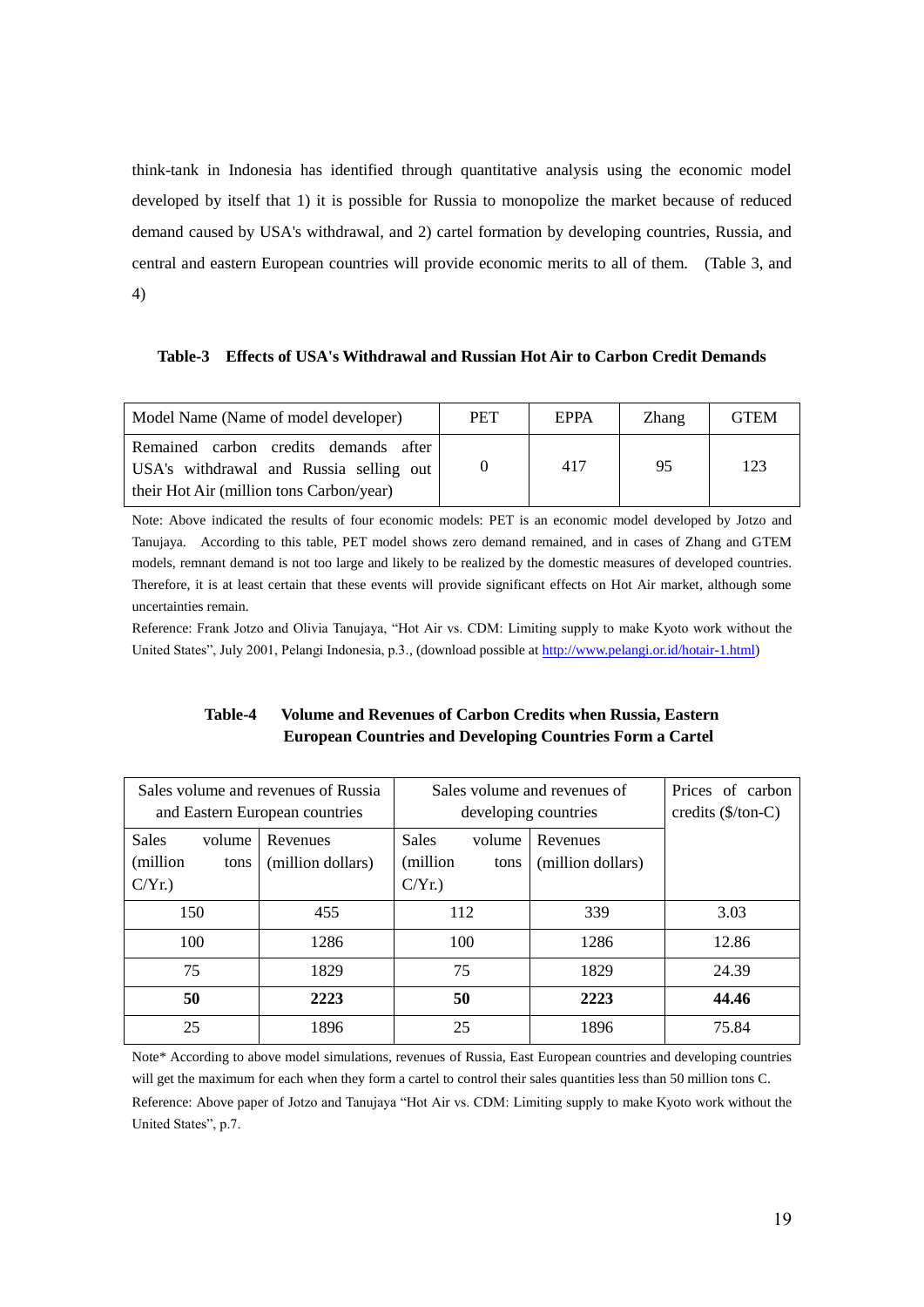think-tank in Indonesia has identified through quantitative analysis using the economic model developed by itself that 1) it is possible for Russia to monopolize the market because of reduced demand caused by USA's withdrawal, and 2) cartel formation by developing countries, Russia, and central and eastern European countries will provide economic merits to all of them. (Table 3, and 4)

**Table-3 Effects of USA's Withdrawal and Russian Hot Air to Carbon Credit Demands**

| Model Name (Name of model developer)                                                                                         | <b>PET</b> | <b>EPPA</b> | Zhang | <b>GTEM</b> |
|------------------------------------------------------------------------------------------------------------------------------|------------|-------------|-------|-------------|
| Remained carbon credits demands after<br>USA's withdrawal and Russia selling out<br>their Hot Air (million tons Carbon/year) |            | 417         | 95    | 123         |

Note: Above indicated the results of four economic models: PET is an economic model developed by Jotzo and Tanujaya. According to this table, PET model shows zero demand remained, and in cases of Zhang and GTEM models, remnant demand is not too large and likely to be realized by the domestic measures of developed countries. Therefore, it is at least certain that these events will provide significant effects on Hot Air market, although some uncertainties remain.

Reference: Frank Jotzo and Olivia Tanujaya, "Hot Air vs. CDM: Limiting supply to make Kyoto work without the United States", July 2001, Pelangi Indonesia, p.3., (download possible a[t http://www.pelangi.or.id/hotair-1.html\)](http://www.pelangi.or.id/hotair-1.html)

# **Table-4 Volume and Revenues of Carbon Credits when Russia, Eastern European Countries and Developing Countries Form a Cartel**

|                                                          | Sales volume and revenues of Russia | Sales volume and revenues of                             |                               | Prices of carbon                   |
|----------------------------------------------------------|-------------------------------------|----------------------------------------------------------|-------------------------------|------------------------------------|
|                                                          | and Eastern European countries      |                                                          | developing countries          | credits $(\frac{5}{\text{ton-C}})$ |
| <b>Sales</b><br>volume<br>(million)<br>tons<br>$C/Yr.$ ) | Revenues<br>(million dollars)       | <b>Sales</b><br>volume<br>(million)<br>tons<br>$C/Yr.$ ) | Revenues<br>(million dollars) |                                    |
| 150                                                      | 455                                 | 112                                                      | 339                           | 3.03                               |
| 100                                                      | 1286                                | 100                                                      | 1286                          | 12.86                              |
| 75                                                       | 1829                                | 75                                                       | 1829                          | 24.39                              |
| 50                                                       | 2223                                | 50                                                       | 2223                          | 44.46                              |
| 25                                                       | 1896                                | 25                                                       | 1896                          | 75.84                              |

Note\* According to above model simulations, revenues of Russia, East European countries and developing countries will get the maximum for each when they form a cartel to control their sales quantities less than 50 million tons C. Reference: Above paper of Jotzo and Tanujaya "Hot Air vs. CDM: Limiting supply to make Kyoto work without the United States", p.7.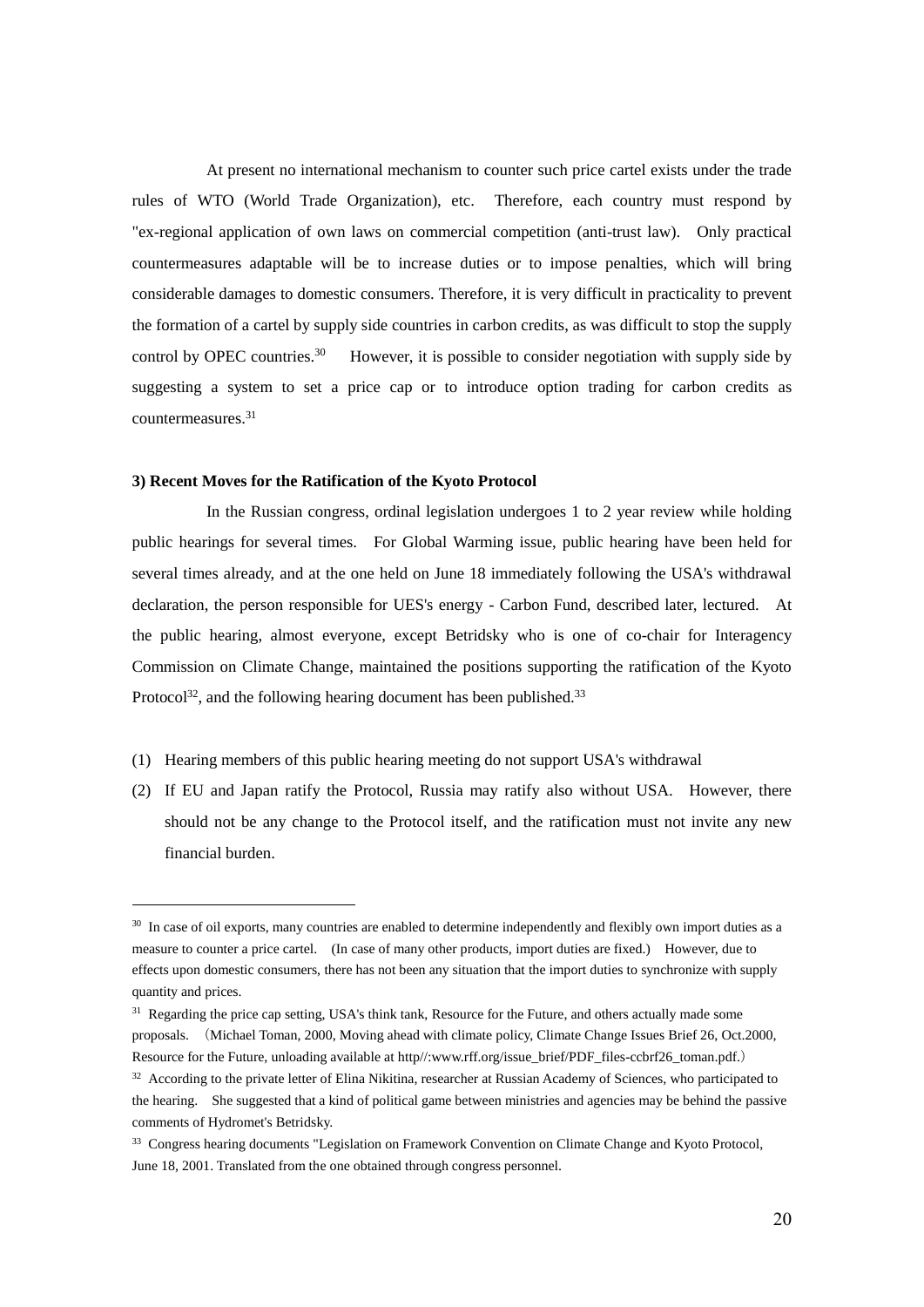At present no international mechanism to counter such price cartel exists under the trade rules of WTO (World Trade Organization), etc. Therefore, each country must respond by "ex-regional application of own laws on commercial competition (anti-trust law). Only practical countermeasures adaptable will be to increase duties or to impose penalties, which will bring considerable damages to domestic consumers. Therefore, it is very difficult in practicality to prevent the formation of a cartel by supply side countries in carbon credits, as was difficult to stop the supply control by OPEC countries.<sup>30</sup> However, it is possible to consider negotiation with supply side by suggesting a system to set a price cap or to introduce option trading for carbon credits as countermeasures.<sup>31</sup>

## **3) Recent Moves for the Ratification of the Kyoto Protocol**

1

In the Russian congress, ordinal legislation undergoes 1 to 2 year review while holding public hearings for several times. For Global Warming issue, public hearing have been held for several times already, and at the one held on June 18 immediately following the USA's withdrawal declaration, the person responsible for UES's energy - Carbon Fund, described later, lectured. At the public hearing, almost everyone, except Betridsky who is one of co-chair for Interagency Commission on Climate Change, maintained the positions supporting the ratification of the Kyoto Protocol<sup>32</sup>, and the following hearing document has been published.<sup>33</sup>

- (1) Hearing members of this public hearing meeting do not support USA's withdrawal
- (2) If EU and Japan ratify the Protocol, Russia may ratify also without USA. However, there should not be any change to the Protocol itself, and the ratification must not invite any new financial burden.

<sup>&</sup>lt;sup>30</sup> In case of oil exports, many countries are enabled to determine independently and flexibly own import duties as a measure to counter a price cartel. (In case of many other products, import duties are fixed.) However, due to effects upon domestic consumers, there has not been any situation that the import duties to synchronize with supply quantity and prices.

<sup>&</sup>lt;sup>31</sup> Regarding the price cap setting, USA's think tank, Resource for the Future, and others actually made some proposals. (Michael Toman, 2000, Moving ahead with climate policy, Climate Change Issues Brief 26, Oct.2000, Resource for the Future, unloading available at http//:www.rff.org/issue\_brief/PDF\_files-ccbrf26\_toman.pdf.)

<sup>&</sup>lt;sup>32</sup> According to the private letter of Elina Nikitina, researcher at Russian Academy of Sciences, who participated to the hearing. She suggested that a kind of political game between ministries and agencies may be behind the passive comments of Hydromet's Betridsky.

<sup>33</sup> Congress hearing documents "Legislation on Framework Convention on Climate Change and Kyoto Protocol, June 18, 2001. Translated from the one obtained through congress personnel.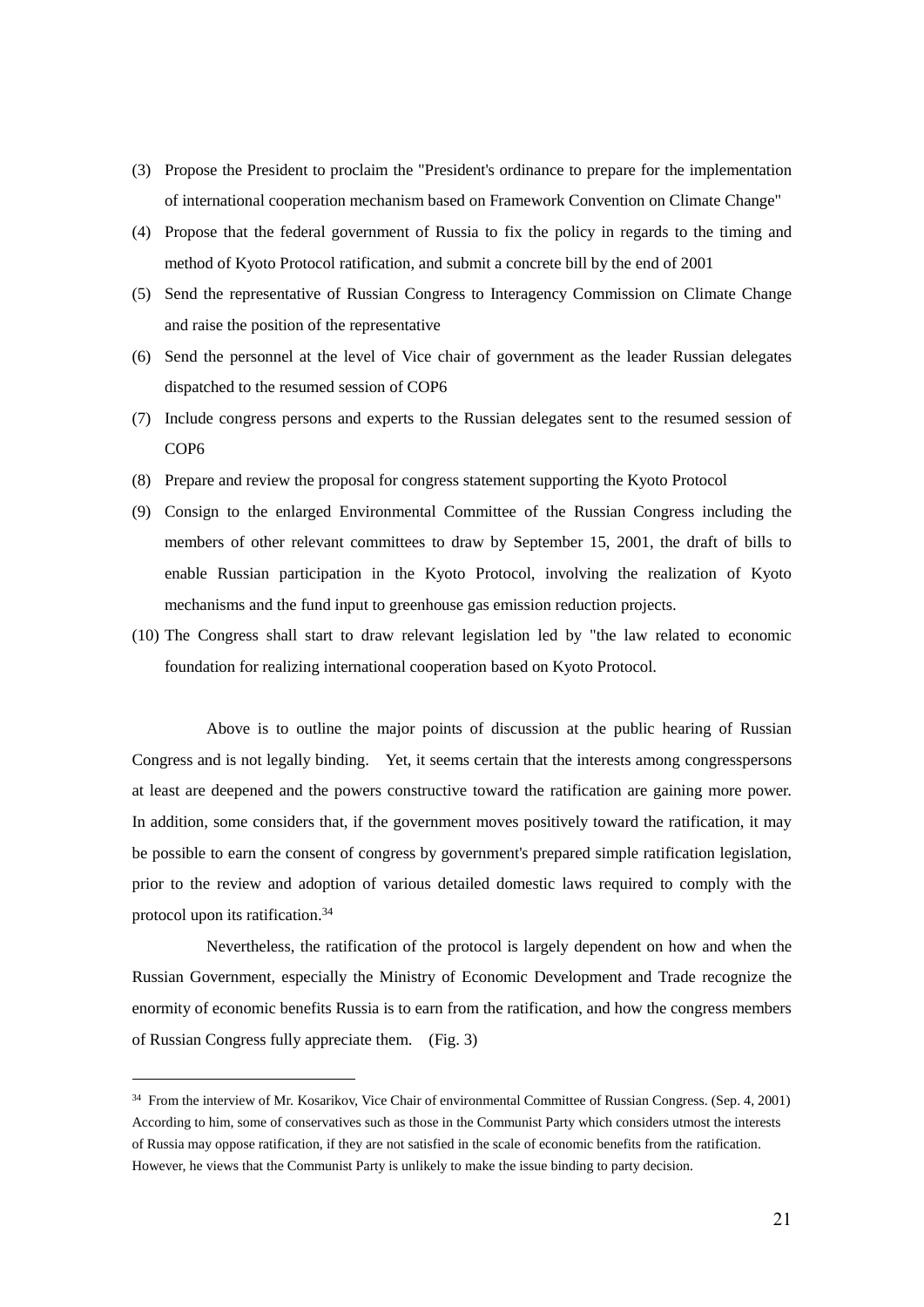- (3) Propose the President to proclaim the "President's ordinance to prepare for the implementation of international cooperation mechanism based on Framework Convention on Climate Change"
- (4) Propose that the federal government of Russia to fix the policy in regards to the timing and method of Kyoto Protocol ratification, and submit a concrete bill by the end of 2001
- (5) Send the representative of Russian Congress to Interagency Commission on Climate Change and raise the position of the representative
- (6) Send the personnel at the level of Vice chair of government as the leader Russian delegates dispatched to the resumed session of COP6
- (7) Include congress persons and experts to the Russian delegates sent to the resumed session of COP6
- (8) Prepare and review the proposal for congress statement supporting the Kyoto Protocol
- (9) Consign to the enlarged Environmental Committee of the Russian Congress including the members of other relevant committees to draw by September 15, 2001, the draft of bills to enable Russian participation in the Kyoto Protocol, involving the realization of Kyoto mechanisms and the fund input to greenhouse gas emission reduction projects.
- (10) The Congress shall start to draw relevant legislation led by "the law related to economic foundation for realizing international cooperation based on Kyoto Protocol.

Above is to outline the major points of discussion at the public hearing of Russian Congress and is not legally binding. Yet, it seems certain that the interests among congresspersons at least are deepened and the powers constructive toward the ratification are gaining more power. In addition, some considers that, if the government moves positively toward the ratification, it may be possible to earn the consent of congress by government's prepared simple ratification legislation, prior to the review and adoption of various detailed domestic laws required to comply with the protocol upon its ratification.<sup>34</sup>

Nevertheless, the ratification of the protocol is largely dependent on how and when the Russian Government, especially the Ministry of Economic Development and Trade recognize the enormity of economic benefits Russia is to earn from the ratification, and how the congress members of Russian Congress fully appreciate them. (Fig. 3)

<sup>34</sup> From the interview of Mr. Kosarikov, Vice Chair of environmental Committee of Russian Congress. (Sep. 4, 2001) According to him, some of conservatives such as those in the Communist Party which considers utmost the interests of Russia may oppose ratification, if they are not satisfied in the scale of economic benefits from the ratification. However, he views that the Communist Party is unlikely to make the issue binding to party decision.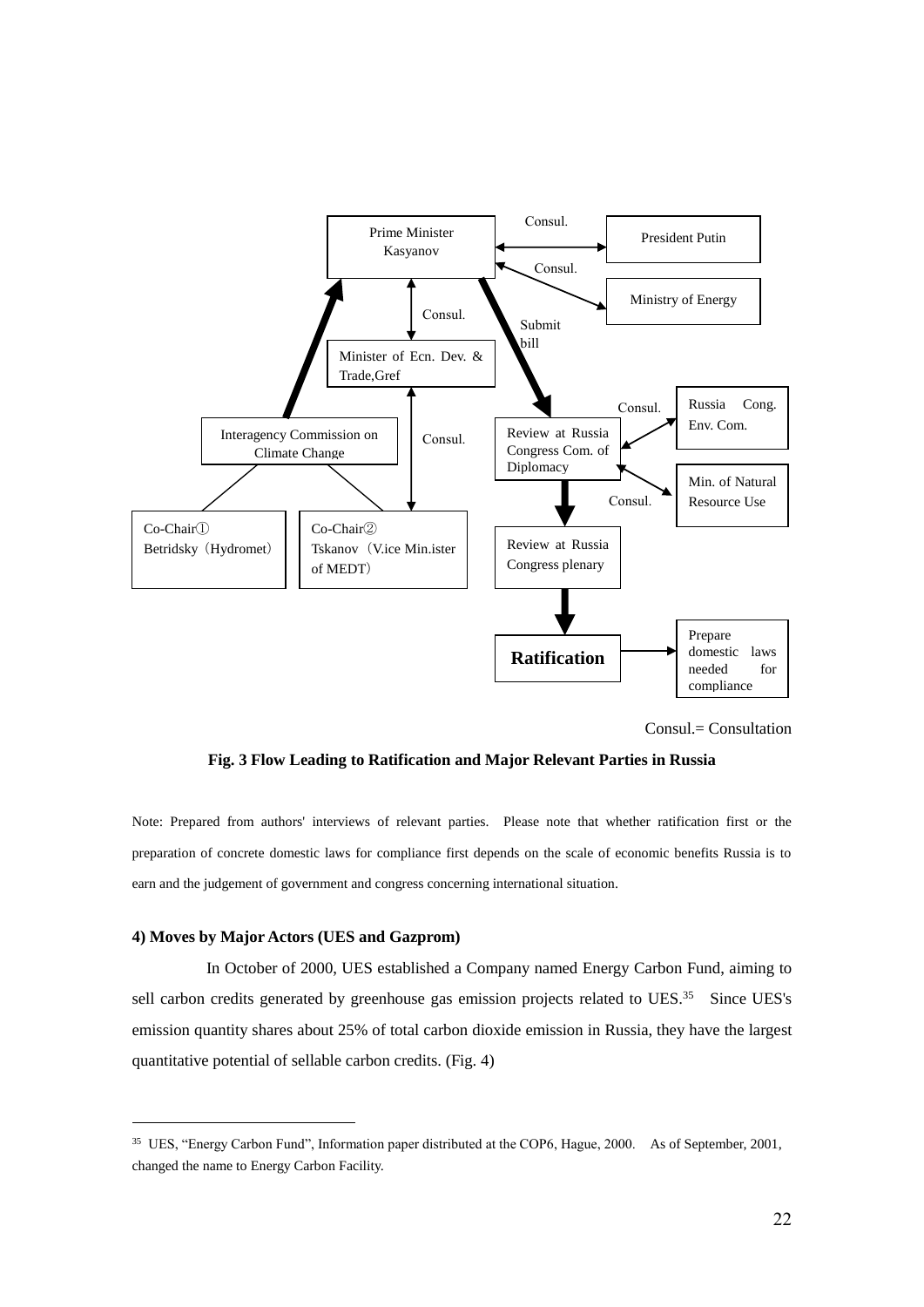

Consul.= Consultation

**Fig. 3 Flow Leading to Ratification and Major Relevant Parties in Russia**

Note: Prepared from authors' interviews of relevant parties. Please note that whether ratification first or the preparation of concrete domestic laws for compliance first depends on the scale of economic benefits Russia is to earn and the judgement of government and congress concerning international situation.

## **4) Moves by Major Actors (UES and Gazprom)**

1

In October of 2000, UES established a Company named Energy Carbon Fund, aiming to sell carbon credits generated by greenhouse gas emission projects related to UES.<sup>35</sup> Since UES's emission quantity shares about 25% of total carbon dioxide emission in Russia, they have the largest quantitative potential of sellable carbon credits. (Fig. 4)

<sup>&</sup>lt;sup>35</sup> UES, "Energy Carbon Fund", Information paper distributed at the COP6, Hague, 2000. As of September, 2001, changed the name to Energy Carbon Facility.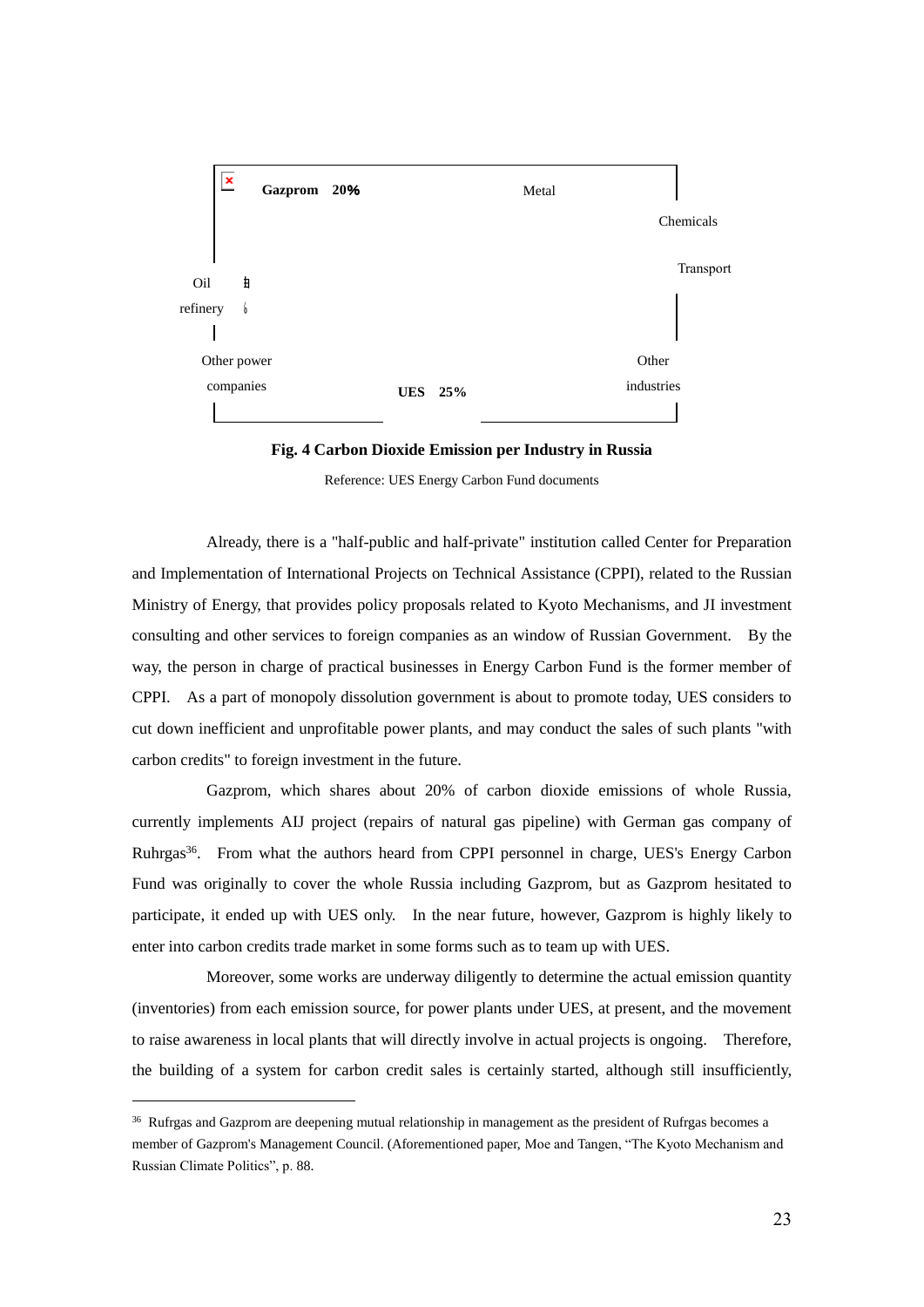

**Fig. 4 Carbon Dioxide Emission per Industry in Russia**

Reference: UES Energy Carbon Fund documents

Already, there is a "half-public and half-private" institution called Center for Preparation and Implementation of International Projects on Technical Assistance (CPPI), related to the Russian Ministry of Energy, that provides policy proposals related to Kyoto Mechanisms, and JI investment consulting and other services to foreign companies as an window of Russian Government. By the way, the person in charge of practical businesses in Energy Carbon Fund is the former member of CPPI. As a part of monopoly dissolution government is about to promote today, UES considers to cut down inefficient and unprofitable power plants, and may conduct the sales of such plants "with carbon credits" to foreign investment in the future.

Gazprom, which shares about 20% of carbon dioxide emissions of whole Russia, currently implements AIJ project (repairs of natural gas pipeline) with German gas company of Ruhrgas<sup>36</sup>. From what the authors heard from CPPI personnel in charge, UES's Energy Carbon Fund was originally to cover the whole Russia including Gazprom, but as Gazprom hesitated to participate, it ended up with UES only. In the near future, however, Gazprom is highly likely to enter into carbon credits trade market in some forms such as to team up with UES.

Moreover, some works are underway diligently to determine the actual emission quantity (inventories) from each emission source, for power plants under UES, at present, and the movement to raise awareness in local plants that will directly involve in actual projects is ongoing. Therefore, the building of a system for carbon credit sales is certainly started, although still insufficiently,

<sup>&</sup>lt;sup>36</sup> Rufrgas and Gazprom are deepening mutual relationship in management as the president of Rufrgas becomes a member of Gazprom's Management Council. (Aforementioned paper, Moe and Tangen, "The Kyoto Mechanism and Russian Climate Politics", p. 88.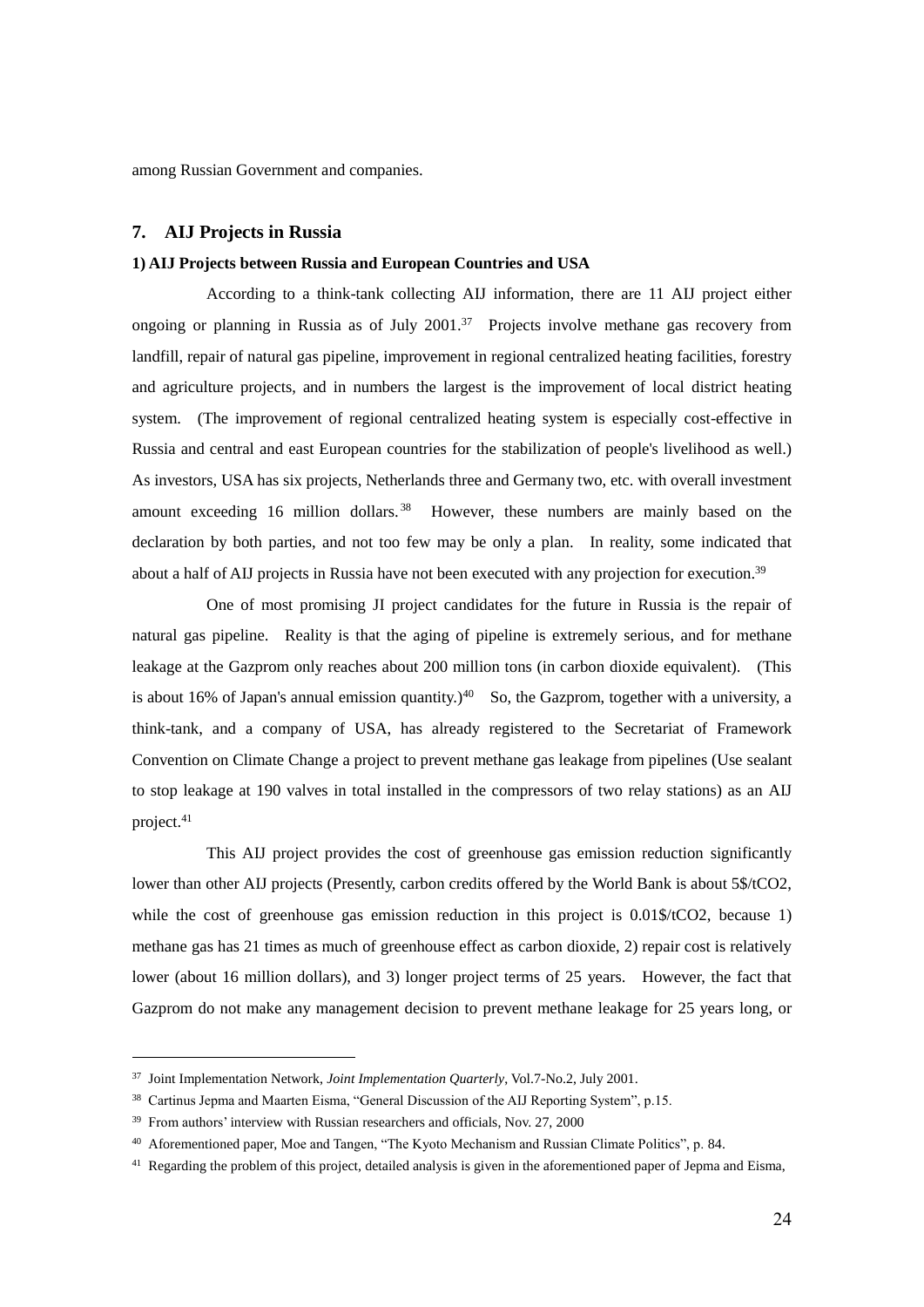among Russian Government and companies.

# **7. AIJ Projects in Russia**

## **1) AIJ Projects between Russia and European Countries and USA**

According to a think-tank collecting AIJ information, there are 11 AIJ project either ongoing or planning in Russia as of July 2001.<sup>37</sup> Projects involve methane gas recovery from landfill, repair of natural gas pipeline, improvement in regional centralized heating facilities, forestry and agriculture projects, and in numbers the largest is the improvement of local district heating system. (The improvement of regional centralized heating system is especially cost-effective in Russia and central and east European countries for the stabilization of people's livelihood as well.) As investors, USA has six projects, Netherlands three and Germany two, etc. with overall investment amount exceeding 16 million dollars.<sup>38</sup> However, these numbers are mainly based on the declaration by both parties, and not too few may be only a plan. In reality, some indicated that about a half of AIJ projects in Russia have not been executed with any projection for execution.<sup>39</sup>

One of most promising JI project candidates for the future in Russia is the repair of natural gas pipeline. Reality is that the aging of pipeline is extremely serious, and for methane leakage at the Gazprom only reaches about 200 million tons (in carbon dioxide equivalent). (This is about 16% of Japan's annual emission quantity.)<sup>40</sup> So, the Gazprom, together with a university, a think-tank, and a company of USA, has already registered to the Secretariat of Framework Convention on Climate Change a project to prevent methane gas leakage from pipelines (Use sealant to stop leakage at 190 valves in total installed in the compressors of two relay stations) as an AIJ project.<sup>41</sup>

This AIJ project provides the cost of greenhouse gas emission reduction significantly lower than other AIJ projects (Presently, carbon credits offered by the World Bank is about 5\$/tCO2, while the cost of greenhouse gas emission reduction in this project is 0.01\$/tCO2, because 1) methane gas has 21 times as much of greenhouse effect as carbon dioxide, 2) repair cost is relatively lower (about 16 million dollars), and 3) longer project terms of 25 years. However, the fact that Gazprom do not make any management decision to prevent methane leakage for 25 years long, or

<sup>37</sup> Joint Implementation Network, *Joint Implementation Quarterly*, Vol.7-No.2, July 2001.

<sup>&</sup>lt;sup>38</sup> Cartinus Jepma and Maarten Eisma, "General Discussion of the AIJ Reporting System", p.15.

<sup>&</sup>lt;sup>39</sup> From authors' interview with Russian researchers and officials, Nov. 27, 2000

<sup>40</sup> Aforementioned paper, Moe and Tangen, "The Kyoto Mechanism and Russian Climate Politics", p. 84.

 $41$  Regarding the problem of this project, detailed analysis is given in the aforementioned paper of Jepma and Eisma,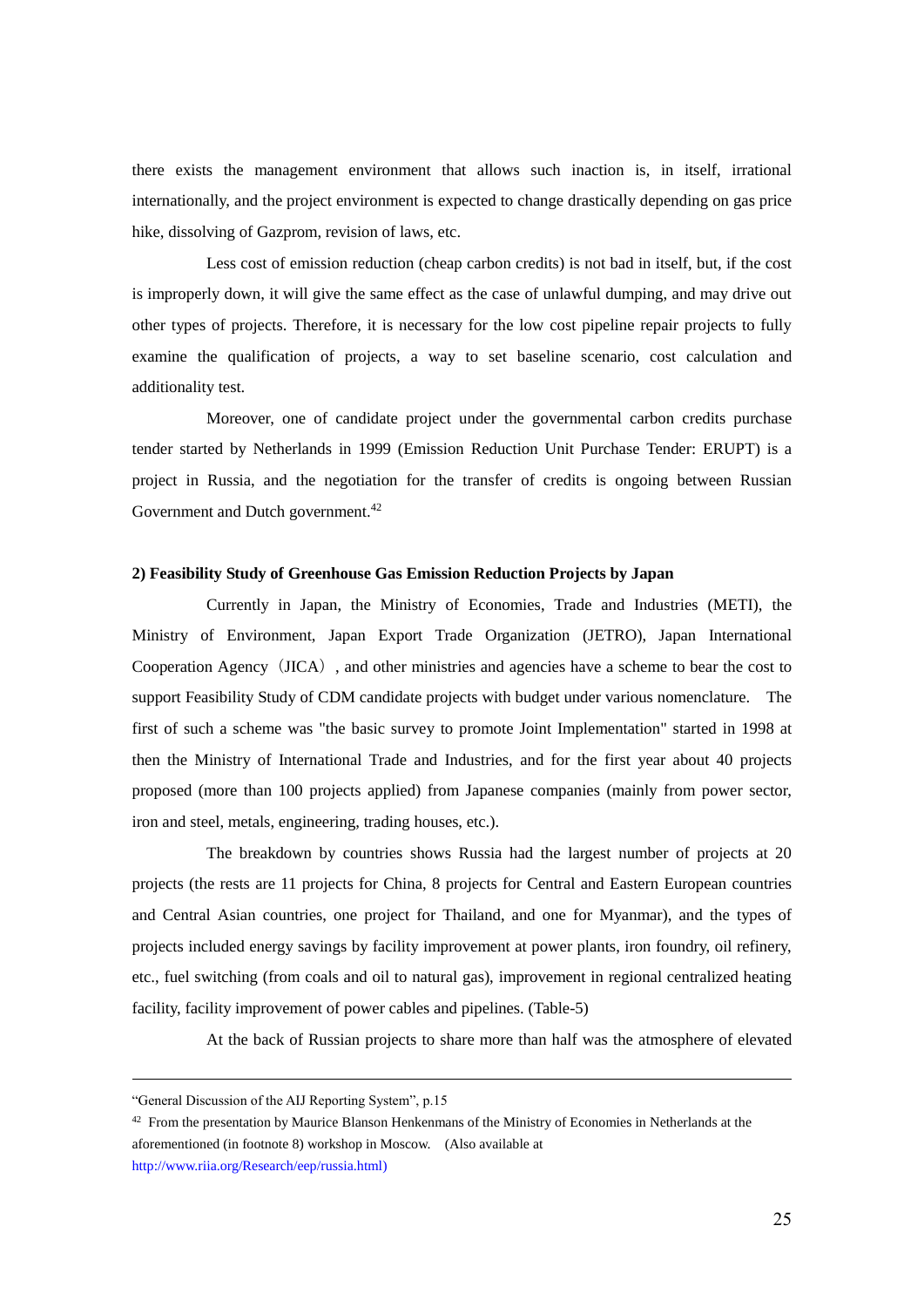there exists the management environment that allows such inaction is, in itself, irrational internationally, and the project environment is expected to change drastically depending on gas price hike, dissolving of Gazprom, revision of laws, etc.

Less cost of emission reduction (cheap carbon credits) is not bad in itself, but, if the cost is improperly down, it will give the same effect as the case of unlawful dumping, and may drive out other types of projects. Therefore, it is necessary for the low cost pipeline repair projects to fully examine the qualification of projects, a way to set baseline scenario, cost calculation and additionality test.

Moreover, one of candidate project under the governmental carbon credits purchase tender started by Netherlands in 1999 (Emission Reduction Unit Purchase Tender: ERUPT) is a project in Russia, and the negotiation for the transfer of credits is ongoing between Russian Government and Dutch government.<sup>42</sup>

# **2) Feasibility Study of Greenhouse Gas Emission Reduction Projects by Japan**

Currently in Japan, the Ministry of Economies, Trade and Industries (METI), the Ministry of Environment, Japan Export Trade Organization (JETRO), Japan International Cooperation Agency (JICA), and other ministries and agencies have a scheme to bear the cost to support Feasibility Study of CDM candidate projects with budget under various nomenclature. The first of such a scheme was "the basic survey to promote Joint Implementation" started in 1998 at then the Ministry of International Trade and Industries, and for the first year about 40 projects proposed (more than 100 projects applied) from Japanese companies (mainly from power sector, iron and steel, metals, engineering, trading houses, etc.).

The breakdown by countries shows Russia had the largest number of projects at 20 projects (the rests are 11 projects for China, 8 projects for Central and Eastern European countries and Central Asian countries, one project for Thailand, and one for Myanmar), and the types of projects included energy savings by facility improvement at power plants, iron foundry, oil refinery, etc., fuel switching (from coals and oil to natural gas), improvement in regional centralized heating facility, facility improvement of power cables and pipelines. (Table-5)

At the back of Russian projects to share more than half was the atmosphere of elevated

<sup>&</sup>quot;General Discussion of the AIJ Reporting System", p.15

<sup>&</sup>lt;sup>42</sup> From the presentation by Maurice Blanson Henkenmans of the Ministry of Economies in Netherlands at the aforementioned (in footnote 8) workshop in Moscow. (Also available at

[http://www.riia.org/Research/eep/russia.html\)](http://www.riia.org/Research/eep/russia.html)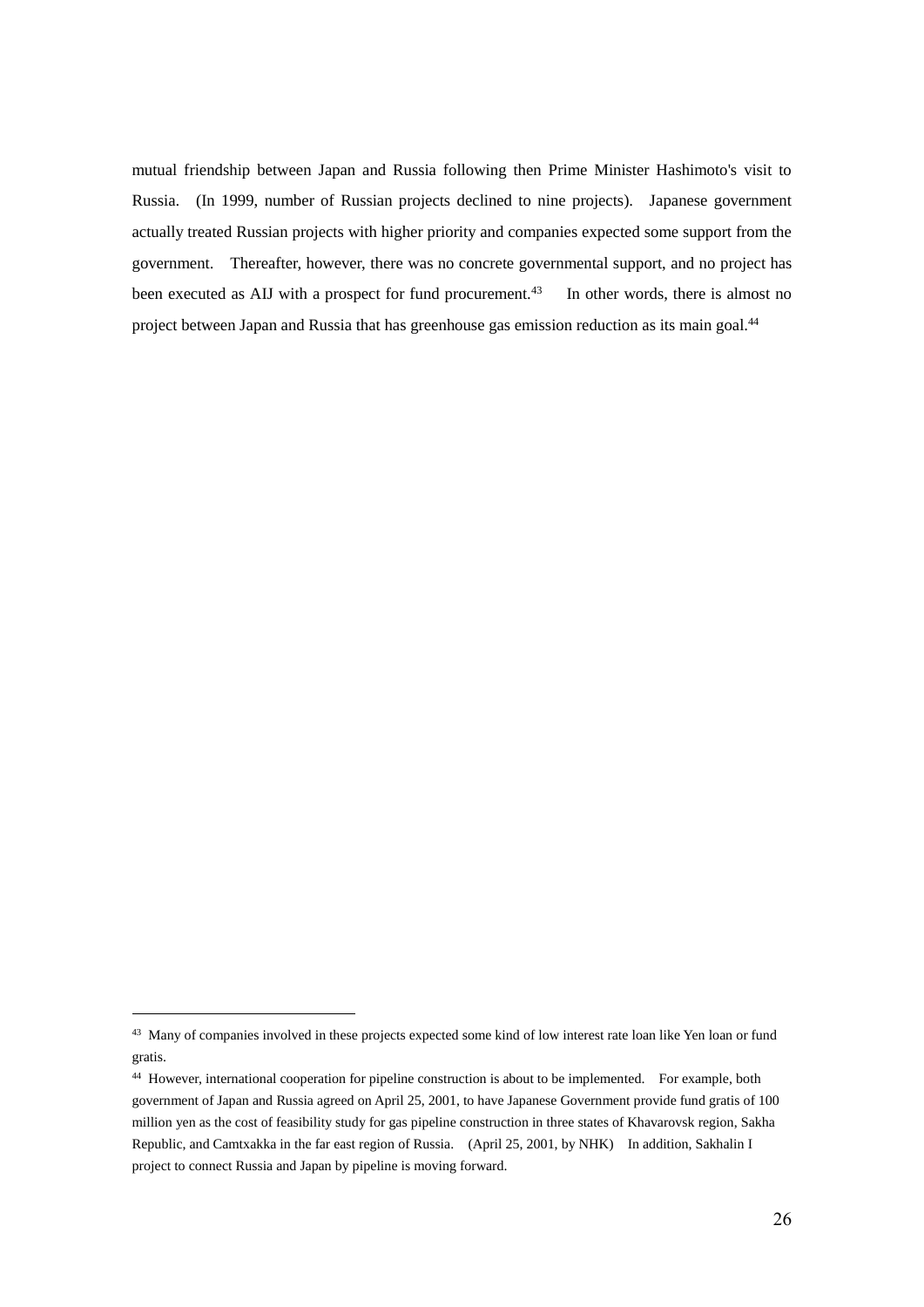mutual friendship between Japan and Russia following then Prime Minister Hashimoto's visit to Russia. (In 1999, number of Russian projects declined to nine projects). Japanese government actually treated Russian projects with higher priority and companies expected some support from the government. Thereafter, however, there was no concrete governmental support, and no project has been executed as AIJ with a prospect for fund procurement.<sup>43</sup> In other words, there is almost no project between Japan and Russia that has greenhouse gas emission reduction as its main goal.<sup>44</sup>

<sup>&</sup>lt;sup>43</sup> Many of companies involved in these projects expected some kind of low interest rate loan like Yen loan or fund gratis.

<sup>44</sup> However, international cooperation for pipeline construction is about to be implemented. For example, both government of Japan and Russia agreed on April 25, 2001, to have Japanese Government provide fund gratis of 100 million yen as the cost of feasibility study for gas pipeline construction in three states of Khavarovsk region, Sakha Republic, and Camtxakka in the far east region of Russia. (April 25, 2001, by NHK) In addition, Sakhalin I project to connect Russia and Japan by pipeline is moving forward.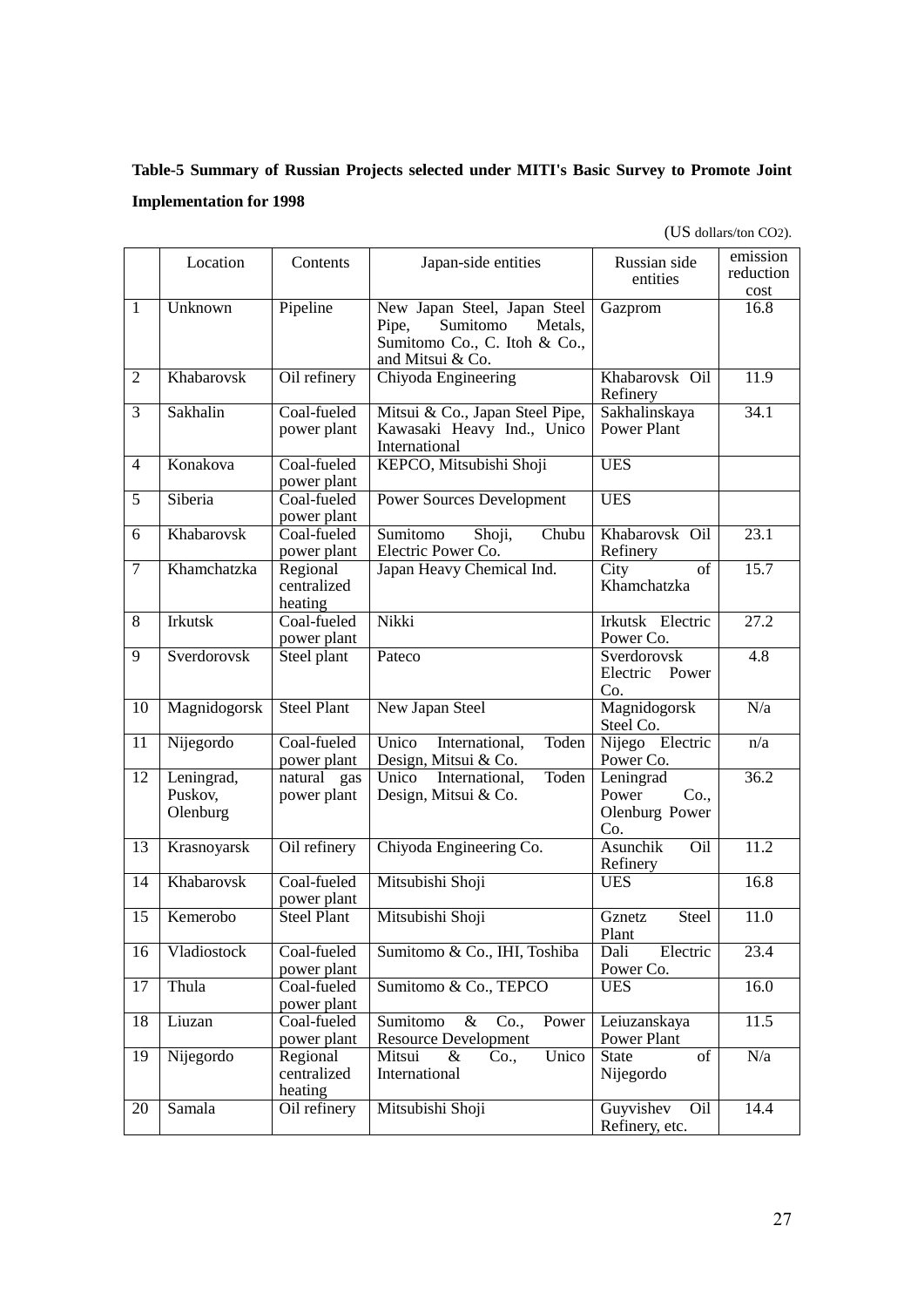# **Table-5 Summary of Russian Projects selected under MITI's Basic Survey to Promote Joint Implementation for 1998**

(US dollars/ton CO2).

|                 | Location                          | Contents                           | Japan-side entities                                                                                              | Russian side<br>entities                            | emission<br>reduction<br>cost |
|-----------------|-----------------------------------|------------------------------------|------------------------------------------------------------------------------------------------------------------|-----------------------------------------------------|-------------------------------|
| $\mathbf{1}$    | Unknown                           | Pipeline                           | New Japan Steel, Japan Steel<br>Sumitomo<br>Pipe.<br>Metals,<br>Sumitomo Co., C. Itoh & Co.,<br>and Mitsui & Co. | Gazprom                                             | 16.8                          |
| $\overline{2}$  | Khabarovsk                        | Oil refinery                       | Chiyoda Engineering                                                                                              | Khabarovsk Oil<br>Refinery                          | 11.9                          |
| 3               | Sakhalin                          | Coal-fueled<br>power plant         | Mitsui & Co., Japan Steel Pipe,<br>Kawasaki Heavy Ind., Unico<br>International                                   | Sakhalinskaya<br><b>Power Plant</b>                 | 34.1                          |
| $\overline{4}$  | Konakova                          | Coal-fueled<br>power plant         | KEPCO, Mitsubishi Shoji                                                                                          | <b>UES</b>                                          |                               |
| $\overline{5}$  | Siberia                           | Coal-fueled<br>power plant         | <b>Power Sources Development</b>                                                                                 | <b>UES</b>                                          |                               |
| 6               | Khabarovsk                        | Coal-fueled<br>power plant         | $\overline{\text{Shoji}}$ ,<br>Chubu<br>Sumitomo<br>Electric Power Co.                                           | Khabarovsk Oil<br>Refinery                          | 23.1                          |
| $\tau$          | Khamchatzka                       | Regional<br>centralized<br>heating | Japan Heavy Chemical Ind.                                                                                        | of<br>City<br>Khamchatzka                           | 15.7                          |
| $\overline{8}$  | <b>Irkutsk</b>                    | Coal-fueled<br>power plant         | Nikki                                                                                                            | Irkutsk Electric<br>Power Co.                       | 27.2                          |
| 9               | Sverdorovsk                       | Steel plant                        | Pateco                                                                                                           | Sverdorovsk<br>Electric<br>Power<br>Co.             | $\overline{4.8}$              |
| 10              | Magnidogorsk                      | <b>Steel Plant</b>                 | New Japan Steel                                                                                                  | Magnidogorsk<br>Steel Co.                           | N/a                           |
| 11              | Nijegordo                         | Coal-fueled<br>power plant         | Unico<br>Toden<br>International,<br>Design, Mitsui & Co.                                                         | Nijego Electric<br>Power Co.                        | n/a                           |
| $\overline{12}$ | Leningrad,<br>Puskov,<br>Olenburg | natural gas<br>power plant         | Toden<br>Unico<br>International,<br>Design, Mitsui & Co.                                                         | Leningrad<br>Power<br>Co.,<br>Olenburg Power<br>Co. | 36.2                          |
| 13              | Krasnoyarsk                       | Oil refinery                       | Chiyoda Engineering Co.                                                                                          | Asunchik<br>Oil<br>Refinery                         | 11.2                          |
| 14              | Khabarovsk                        | Coal-fueled<br>power plant         | Mitsubishi Shoji                                                                                                 | <b>UES</b>                                          | 16.8                          |
| 15              | Kemerobo                          | <b>Steel Plant</b>                 | Mitsubishi Shoji                                                                                                 | Steel<br>Gznetz<br>Plant                            | 11.0                          |
| 16              | Vladiostock                       | Coal-fueled<br>power plant         | Sumitomo & Co., IHI, Toshiba                                                                                     | Electric<br>Dali<br>Power Co.                       | 23.4                          |
| 17              | Thula                             | Coal-fueled<br>power plant         | Sumitomo & Co., TEPCO                                                                                            | <b>UES</b>                                          | 16.0                          |
| 18              | Liuzan                            | Coal-fueled<br>power plant         | Sumitomo<br>$\&$<br>Co.,<br>Power<br><b>Resource Development</b>                                                 | Leiuzanskaya<br>Power Plant                         | 11.5                          |
| 19              | Nijegordo                         | Regional<br>centralized<br>heating | Unico<br>Mitsui<br>&<br>Co.,<br>International                                                                    | <b>State</b><br>of<br>Nijegordo                     | N/a                           |
| 20              | Samala                            | Oil refinery                       | Mitsubishi Shoji                                                                                                 | Guyvishev<br>Oil<br>Refinery, etc.                  | 14.4                          |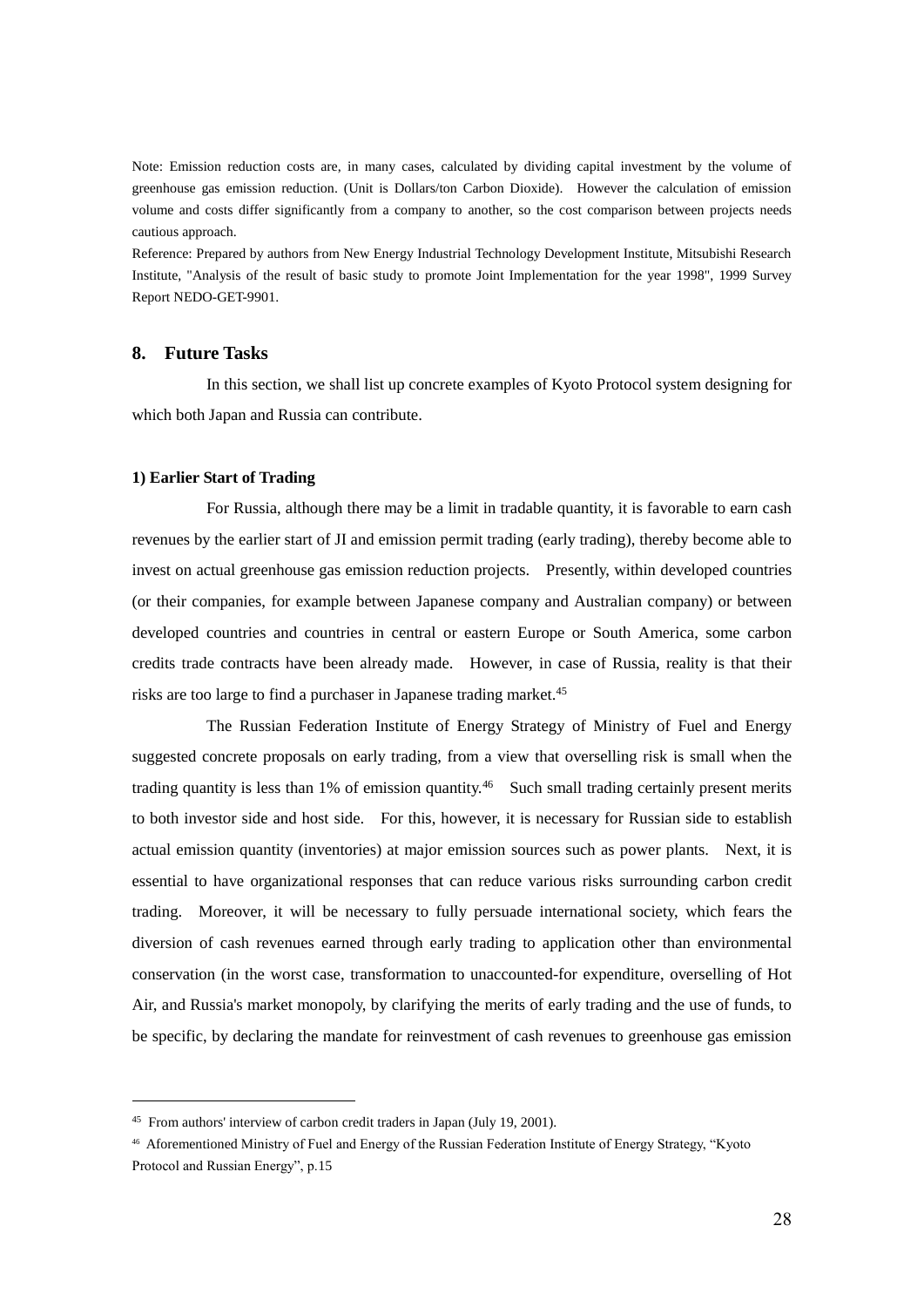Note: Emission reduction costs are, in many cases, calculated by dividing capital investment by the volume of greenhouse gas emission reduction. (Unit is Dollars/ton Carbon Dioxide). However the calculation of emission volume and costs differ significantly from a company to another, so the cost comparison between projects needs cautious approach.

Reference: Prepared by authors from New Energy Industrial Technology Development Institute, Mitsubishi Research Institute, "Analysis of the result of basic study to promote Joint Implementation for the year 1998", 1999 Survey Report NEDO-GET-9901.

# **8. Future Tasks**

In this section, we shall list up concrete examples of Kyoto Protocol system designing for which both Japan and Russia can contribute.

## **1) Earlier Start of Trading**

1

For Russia, although there may be a limit in tradable quantity, it is favorable to earn cash revenues by the earlier start of JI and emission permit trading (early trading), thereby become able to invest on actual greenhouse gas emission reduction projects. Presently, within developed countries (or their companies, for example between Japanese company and Australian company) or between developed countries and countries in central or eastern Europe or South America, some carbon credits trade contracts have been already made. However, in case of Russia, reality is that their risks are too large to find a purchaser in Japanese trading market.<sup>45</sup>

The Russian Federation Institute of Energy Strategy of Ministry of Fuel and Energy suggested concrete proposals on early trading, from a view that overselling risk is small when the trading quantity is less than 1% of emission quantity.<sup>46</sup> Such small trading certainly present merits to both investor side and host side. For this, however, it is necessary for Russian side to establish actual emission quantity (inventories) at major emission sources such as power plants. Next, it is essential to have organizational responses that can reduce various risks surrounding carbon credit trading. Moreover, it will be necessary to fully persuade international society, which fears the diversion of cash revenues earned through early trading to application other than environmental conservation (in the worst case, transformation to unaccounted-for expenditure, overselling of Hot Air, and Russia's market monopoly, by clarifying the merits of early trading and the use of funds, to be specific, by declaring the mandate for reinvestment of cash revenues to greenhouse gas emission

<sup>45</sup> From authors' interview of carbon credit traders in Japan (July 19, 2001).

<sup>46</sup> Aforementioned Ministry of Fuel and Energy of the Russian Federation Institute of Energy Strategy, "Kyoto Protocol and Russian Energy", p.15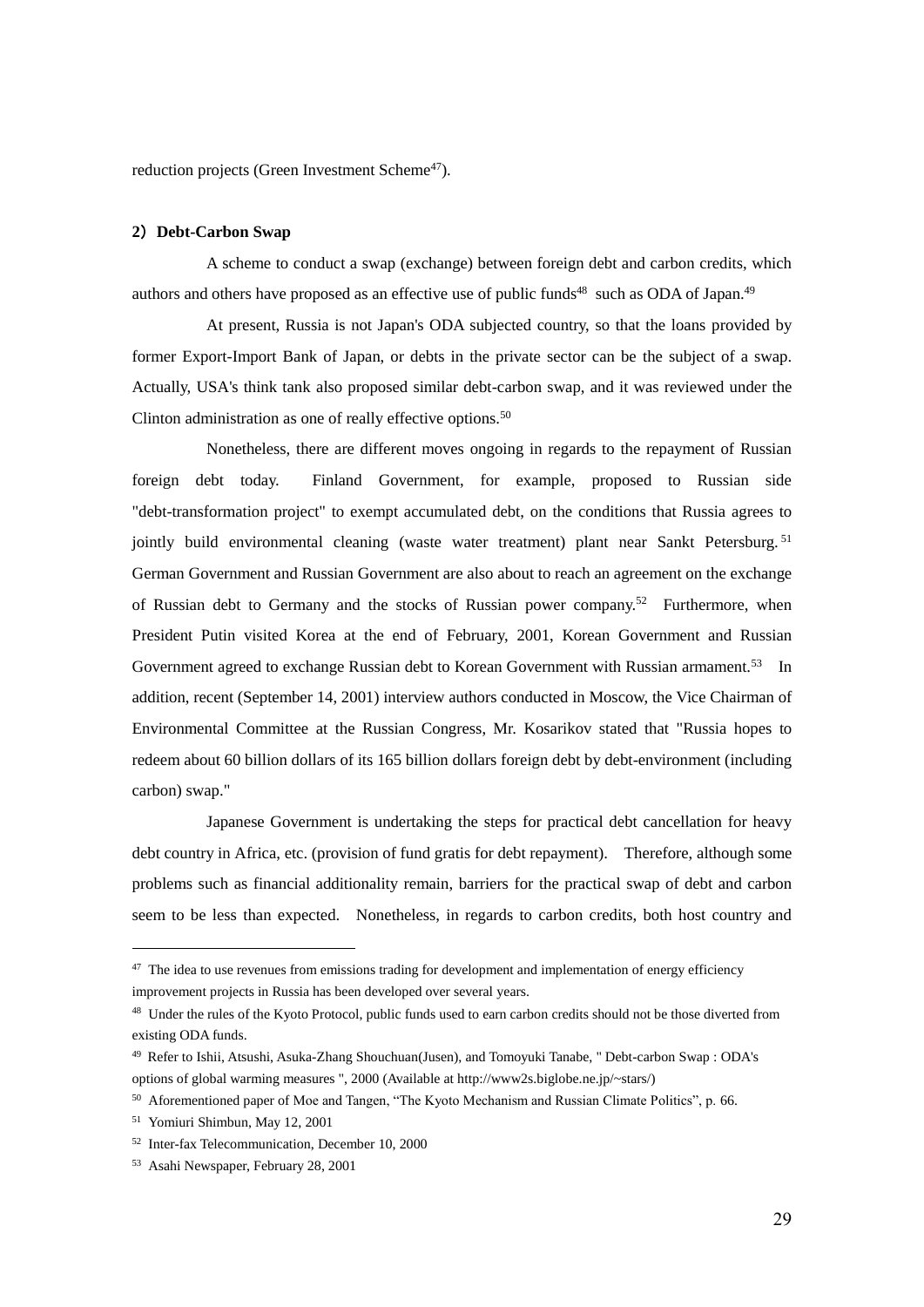reduction projects (Green Investment Scheme<sup>47</sup>).

# **2**)**Debt-Carbon Swap**

A scheme to conduct a swap (exchange) between foreign debt and carbon credits, which authors and others have proposed as an effective use of public funds<sup>48</sup> such as ODA of Japan.<sup>49</sup>

At present, Russia is not Japan's ODA subjected country, so that the loans provided by former Export-Import Bank of Japan, or debts in the private sector can be the subject of a swap. Actually, USA's think tank also proposed similar debt-carbon swap, and it was reviewed under the Clinton administration as one of really effective options.<sup>50</sup>

Nonetheless, there are different moves ongoing in regards to the repayment of Russian foreign debt today. Finland Government, for example, proposed to Russian side "debt-transformation project" to exempt accumulated debt, on the conditions that Russia agrees to jointly build environmental cleaning (waste water treatment) plant near Sankt Petersburg.<sup>51</sup> German Government and Russian Government are also about to reach an agreement on the exchange of Russian debt to Germany and the stocks of Russian power company.<sup>52</sup> Furthermore, when President Putin visited Korea at the end of February, 2001, Korean Government and Russian Government agreed to exchange Russian debt to Korean Government with Russian armament.<sup>53</sup> In addition, recent (September 14, 2001) interview authors conducted in Moscow, the Vice Chairman of Environmental Committee at the Russian Congress, Mr. Kosarikov stated that "Russia hopes to redeem about 60 billion dollars of its 165 billion dollars foreign debt by debt-environment (including carbon) swap."

Japanese Government is undertaking the steps for practical debt cancellation for heavy debt country in Africa, etc. (provision of fund gratis for debt repayment). Therefore, although some problems such as financial additionality remain, barriers for the practical swap of debt and carbon seem to be less than expected. Nonetheless, in regards to carbon credits, both host country and

<sup>&</sup>lt;sup>47</sup> The idea to use revenues from emissions trading for development and implementation of energy efficiency improvement projects in Russia has been developed over several years.

<sup>&</sup>lt;sup>48</sup> Under the rules of the Kyoto Protocol, public funds used to earn carbon credits should not be those diverted from existing ODA funds.

<sup>49</sup> Refer to Ishii, Atsushi, Asuka-Zhang Shouchuan(Jusen), and Tomoyuki Tanabe, " Debt-carbon Swap : ODA's options of global warming measures ", 2000 (Available at http://www2s.biglobe.ne.jp/~stars/)

<sup>50</sup> Aforementioned paper of Moe and Tangen, "The Kyoto Mechanism and Russian Climate Politics", p. 66.

<sup>51</sup> Yomiuri Shimbun, May 12, 2001

<sup>52</sup> Inter-fax Telecommunication, December 10, 2000

<sup>53</sup> Asahi Newspaper, February 28, 2001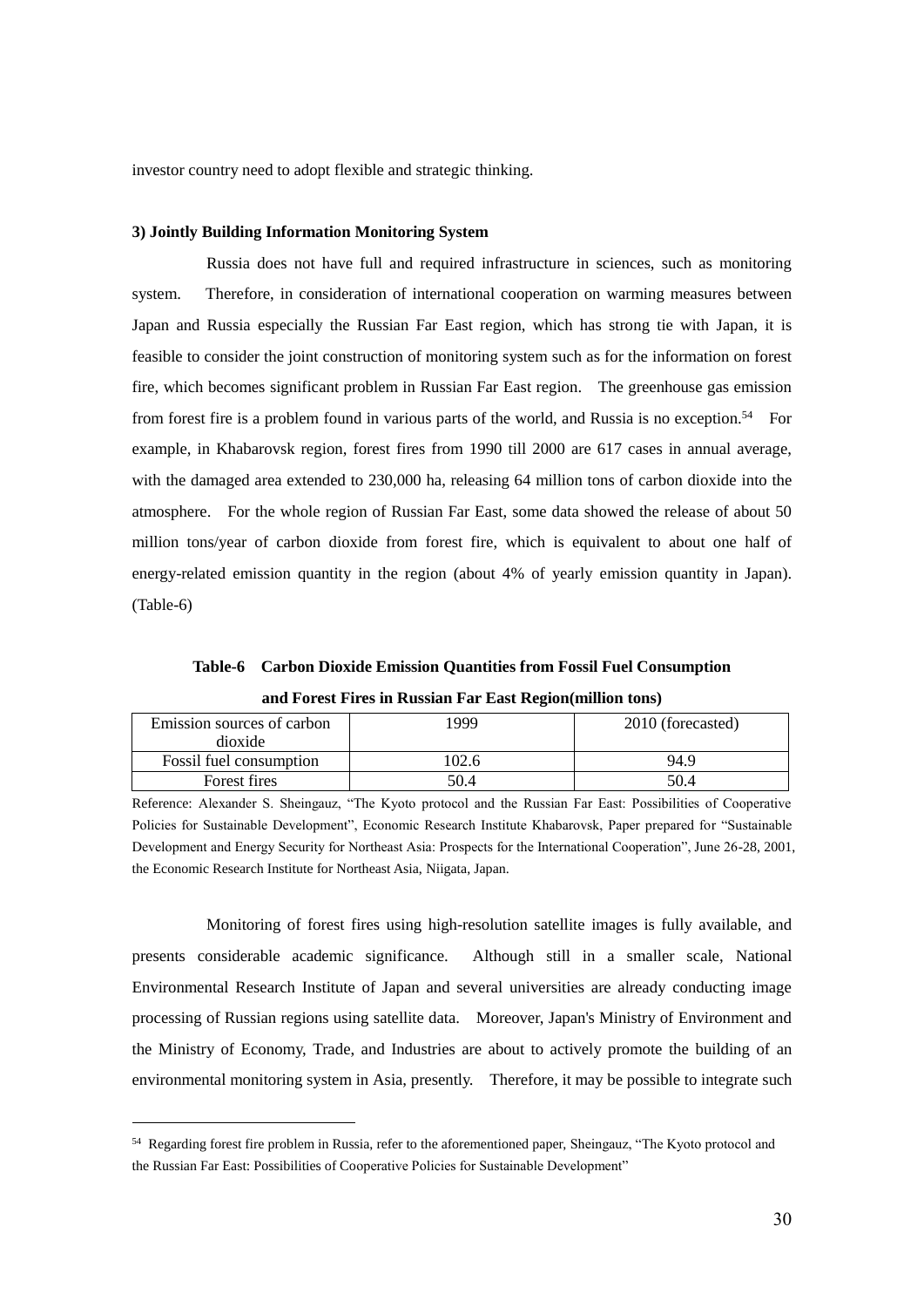investor country need to adopt flexible and strategic thinking.

## **3) Jointly Building Information Monitoring System**

Russia does not have full and required infrastructure in sciences, such as monitoring system. Therefore, in consideration of international cooperation on warming measures between Japan and Russia especially the Russian Far East region, which has strong tie with Japan, it is feasible to consider the joint construction of monitoring system such as for the information on forest fire, which becomes significant problem in Russian Far East region. The greenhouse gas emission from forest fire is a problem found in various parts of the world, and Russia is no exception.<sup>54</sup> For example, in Khabarovsk region, forest fires from 1990 till 2000 are 617 cases in annual average, with the damaged area extended to 230,000 ha, releasing 64 million tons of carbon dioxide into the atmosphere. For the whole region of Russian Far East, some data showed the release of about 50 million tons/year of carbon dioxide from forest fire, which is equivalent to about one half of energy-related emission quantity in the region (about 4% of yearly emission quantity in Japan). (Table-6)

**Table-6 Carbon Dioxide Emission Quantities from Fossil Fuel Consumption and Forest Fires in Russian Far East Region(million tons)** 

| Emission sources of carbon<br>dioxide | 1999  | 2010 (forecasted) |
|---------------------------------------|-------|-------------------|
| <b>Fossil fuel consumption</b>        | '02.6 | 94.9              |
| Forest fires                          | 50.4  | 50.4              |

Reference: Alexander S. Sheingauz, "The Kyoto protocol and the Russian Far East: Possibilities of Cooperative Policies for Sustainable Development", Economic Research Institute Khabarovsk, Paper prepared for "Sustainable Development and Energy Security for Northeast Asia: Prospects for the International Cooperation", June 26-28, 2001, the Economic Research Institute for Northeast Asia, Niigata, Japan.

Monitoring of forest fires using high-resolution satellite images is fully available, and presents considerable academic significance. Although still in a smaller scale, National Environmental Research Institute of Japan and several universities are already conducting image processing of Russian regions using satellite data. Moreover, Japan's Ministry of Environment and the Ministry of Economy, Trade, and Industries are about to actively promote the building of an environmental monitoring system in Asia, presently. Therefore, it may be possible to integrate such

<sup>54</sup> Regarding forest fire problem in Russia, refer to the aforementioned paper, Sheingauz, "The Kyoto protocol and the Russian Far East: Possibilities of Cooperative Policies for Sustainable Development"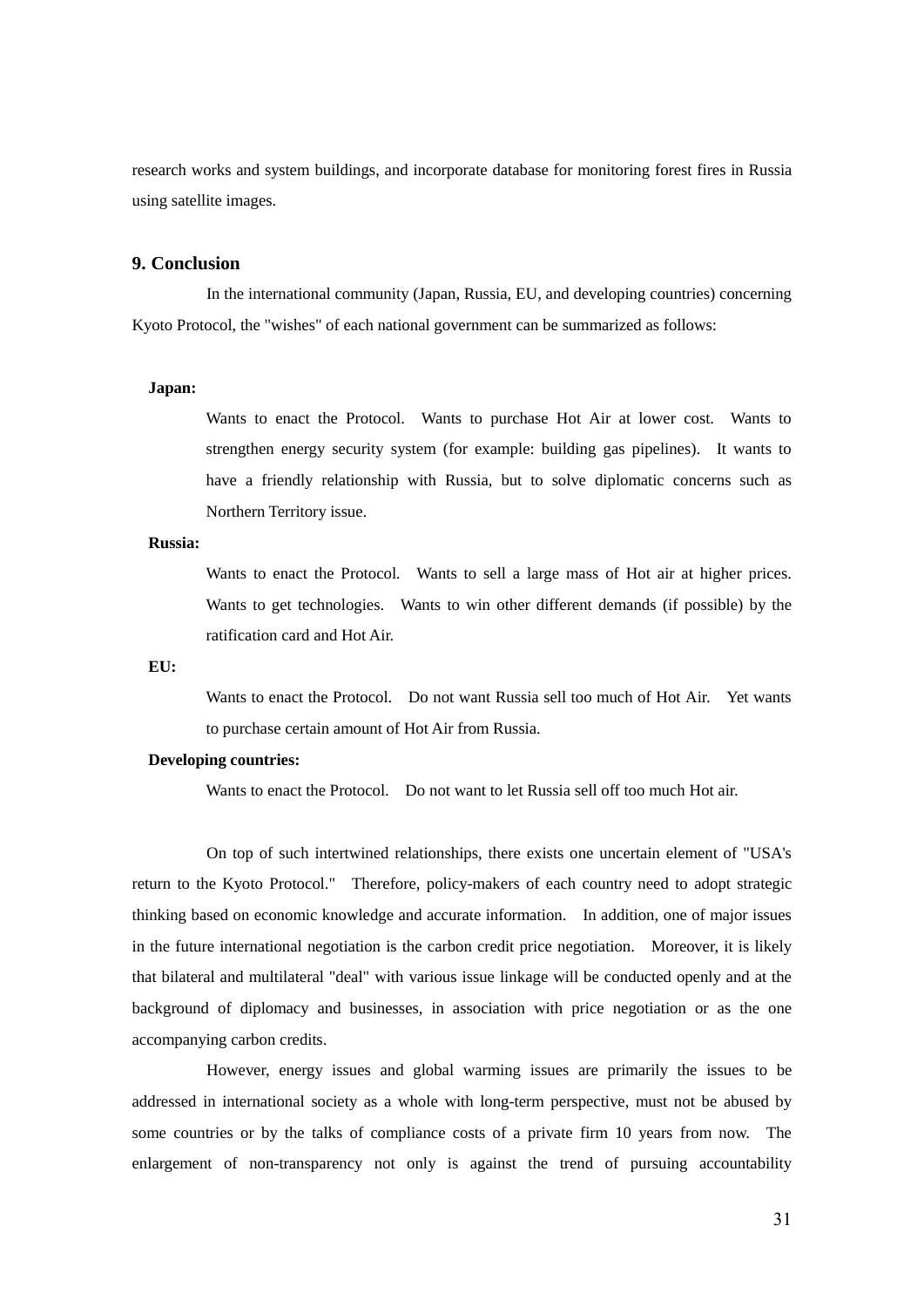research works and system buildings, and incorporate database for monitoring forest fires in Russia using satellite images.

# **9. Conclusion**

In the international community (Japan, Russia, EU, and developing countries) concerning Kyoto Protocol, the "wishes" of each national government can be summarized as follows:

## **Japan:**

Wants to enact the Protocol. Wants to purchase Hot Air at lower cost. Wants to strengthen energy security system (for example: building gas pipelines). It wants to have a friendly relationship with Russia, but to solve diplomatic concerns such as Northern Territory issue.

# **Russia:**

Wants to enact the Protocol. Wants to sell a large mass of Hot air at higher prices. Wants to get technologies. Wants to win other different demands (if possible) by the ratification card and Hot Air.

#### **EU:**

Wants to enact the Protocol. Do not want Russia sell too much of Hot Air. Yet wants to purchase certain amount of Hot Air from Russia.

# **Developing countries:**

Wants to enact the Protocol. Do not want to let Russia sell off too much Hot air.

On top of such intertwined relationships, there exists one uncertain element of "USA's return to the Kyoto Protocol." Therefore, policy-makers of each country need to adopt strategic thinking based on economic knowledge and accurate information. In addition, one of major issues in the future international negotiation is the carbon credit price negotiation. Moreover, it is likely that bilateral and multilateral "deal" with various issue linkage will be conducted openly and at the background of diplomacy and businesses, in association with price negotiation or as the one accompanying carbon credits.

However, energy issues and global warming issues are primarily the issues to be addressed in international society as a whole with long-term perspective, must not be abused by some countries or by the talks of compliance costs of a private firm 10 years from now. The enlargement of non-transparency not only is against the trend of pursuing accountability